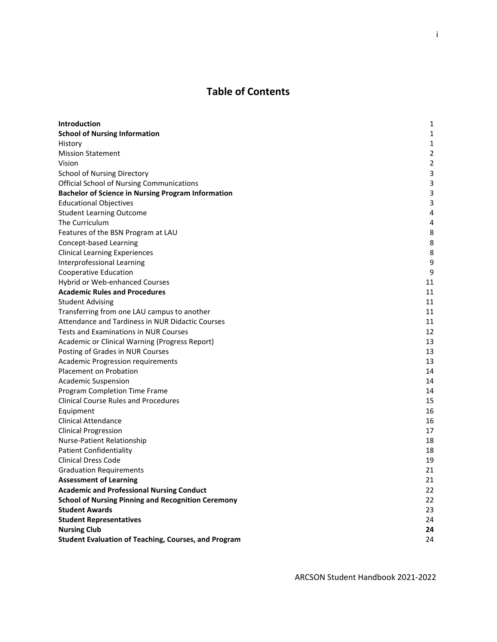# **Table of Contents**

| Introduction                                                | 1              |
|-------------------------------------------------------------|----------------|
| <b>School of Nursing Information</b>                        | 1              |
| History                                                     | 1              |
| <b>Mission Statement</b>                                    | $\overline{2}$ |
| Vision                                                      | $\overline{2}$ |
| <b>School of Nursing Directory</b>                          | 3              |
| <b>Official School of Nursing Communications</b>            | 3              |
| <b>Bachelor of Science in Nursing Program Information</b>   | 3              |
| <b>Educational Objectives</b>                               | 3              |
| <b>Student Learning Outcome</b>                             | 4              |
| The Curriculum                                              | 4              |
| Features of the BSN Program at LAU                          | 8              |
| Concept-based Learning                                      | 8              |
| <b>Clinical Learning Experiences</b>                        | 8              |
| Interprofessional Learning                                  | 9              |
| <b>Cooperative Education</b>                                | 9              |
| Hybrid or Web-enhanced Courses                              | 11             |
| <b>Academic Rules and Procedures</b>                        | 11             |
| <b>Student Advising</b>                                     | 11             |
| Transferring from one LAU campus to another                 | 11             |
| Attendance and Tardiness in NUR Didactic Courses            | 11             |
| <b>Tests and Examinations in NUR Courses</b>                | 12             |
| Academic or Clinical Warning (Progress Report)              | 13             |
| Posting of Grades in NUR Courses                            | 13             |
| Academic Progression requirements                           | 13             |
| Placement on Probation                                      | 14             |
| <b>Academic Suspension</b>                                  | 14             |
| Program Completion Time Frame                               | 14             |
| <b>Clinical Course Rules and Procedures</b>                 | 15             |
| Equipment                                                   | 16             |
| <b>Clinical Attendance</b>                                  | 16             |
| <b>Clinical Progression</b>                                 | 17             |
| Nurse-Patient Relationship                                  | 18             |
| <b>Patient Confidentiality</b>                              | 18             |
| <b>Clinical Dress Code</b>                                  | 19             |
| <b>Graduation Requirements</b>                              | 21             |
| <b>Assessment of Learning</b>                               | 21             |
| <b>Academic and Professional Nursing Conduct</b>            | 22             |
| <b>School of Nursing Pinning and Recognition Ceremony</b>   | 22             |
| <b>Student Awards</b>                                       | 23             |
| <b>Student Representatives</b>                              | 24             |
| <b>Nursing Club</b>                                         | 24             |
| <b>Student Evaluation of Teaching, Courses, and Program</b> | 24             |

ARCSON Student Handbook 2021-2022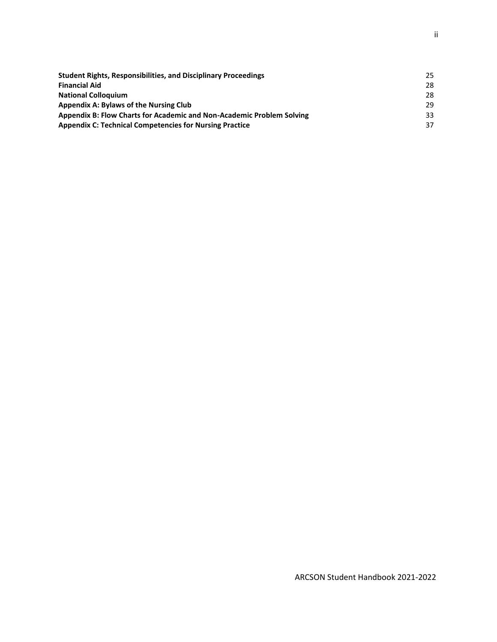| <b>Student Rights, Responsibilities, and Disciplinary Proceedings</b> | 25 |
|-----------------------------------------------------------------------|----|
| <b>Financial Aid</b>                                                  | 28 |
| <b>National Colloguium</b>                                            | 28 |
| <b>Appendix A: Bylaws of the Nursing Club</b>                         | 29 |
| Appendix B: Flow Charts for Academic and Non-Academic Problem Solving | 33 |
| <b>Appendix C: Technical Competencies for Nursing Practice</b>        | 37 |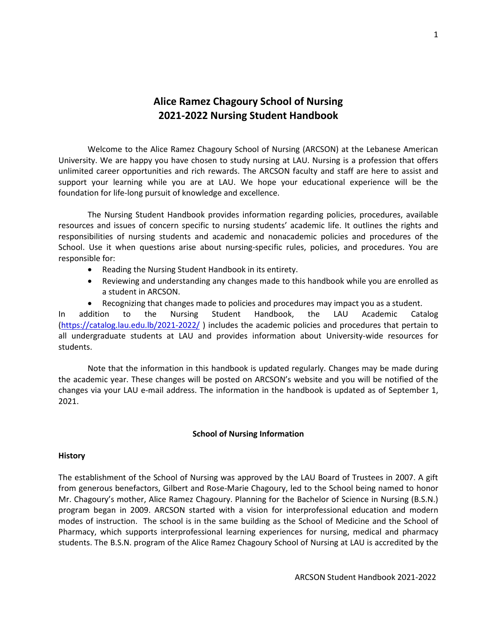# **Alice Ramez Chagoury School of Nursing 2021-2022 Nursing Student Handbook**

Welcome to the Alice Ramez Chagoury School of Nursing (ARCSON) at the Lebanese American University. We are happy you have chosen to study nursing at LAU. Nursing is a profession that offers unlimited career opportunities and rich rewards. The ARCSON faculty and staff are here to assist and support your learning while you are at LAU. We hope your educational experience will be the foundation for life-long pursuit of knowledge and excellence.

The Nursing Student Handbook provides information regarding policies, procedures, available resources and issues of concern specific to nursing students' academic life. It outlines the rights and responsibilities of nursing students and academic and nonacademic policies and procedures of the School. Use it when questions arise about nursing-specific rules, policies, and procedures. You are responsible for:

- Reading the Nursing Student Handbook in its entirety.
- Reviewing and understanding any changes made to this handbook while you are enrolled as a student in ARCSON.
- Recognizing that changes made to policies and procedures may impact you as a student.

In addition to the Nursing Student Handbook, the LAU Academic Catalog [\(https://catalog.lau.edu.lb/2021-2022/](https://catalog.lau.edu.lb/2021-2022/) ) includes the academic policies and procedures that pertain to all undergraduate students at LAU and provides information about University-wide resources for students.

Note that the information in this handbook is updated regularly. Changes may be made during the academic year. These changes will be posted on ARCSON's website and you will be notified of the changes via your LAU e-mail address. The information in the handbook is updated as of September 1, 2021.

#### **School of Nursing Information**

#### **History**

The establishment of the School of Nursing was approved by the LAU Board of Trustees in 2007. A gift from generous benefactors, Gilbert and Rose-Marie Chagoury, led to the School being named to honor Mr. Chagoury's mother, Alice Ramez Chagoury. Planning for the Bachelor of Science in Nursing (B.S.N.) program began in 2009. ARCSON started with a vision for interprofessional education and modern modes of instruction. The school is in the same building as the School of Medicine and the School of Pharmacy, which supports interprofessional learning experiences for nursing, medical and pharmacy students. The B.S.N. program of the Alice Ramez Chagoury School of Nursing at LAU is accredited by the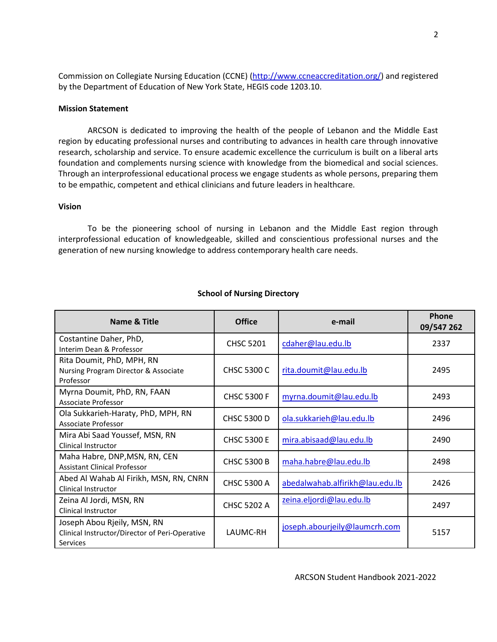Commission on Collegiate Nursing Education (CCNE) [\(http://www.ccneaccreditation.org/\)](http://www.ccneaccreditation.org/) and registered by the Department of Education of New York State, HEGIS code 1203.10.

#### **Mission Statement**

ARCSON is dedicated to improving the health of the people of Lebanon and the Middle East region by educating professional nurses and contributing to advances in health care through innovative research, scholarship and service. To ensure academic excellence the curriculum is built on a liberal arts foundation and complements nursing science with knowledge from the biomedical and social sciences. Through an interprofessional educational process we engage students as whole persons, preparing them to be empathic, competent and ethical clinicians and future leaders in healthcare.

#### **Vision**

To be the pioneering school of nursing in Lebanon and the Middle East region through interprofessional education of knowledgeable, skilled and conscientious professional nurses and the generation of new nursing knowledge to address contemporary health care needs.

| Name & Title                                                                              | <b>Office</b>      | e-mail                          | Phone<br>09/547 262 |
|-------------------------------------------------------------------------------------------|--------------------|---------------------------------|---------------------|
| Costantine Daher, PhD,<br>Interim Dean & Professor                                        | <b>CHSC 5201</b>   | cdaher@lau.edu.lb               | 2337                |
| Rita Doumit, PhD, MPH, RN<br>Nursing Program Director & Associate<br>Professor            | <b>CHSC 5300 C</b> | rita.doumit@lau.edu.lb          | 2495                |
| Myrna Doumit, PhD, RN, FAAN<br>Associate Professor                                        | <b>CHSC 5300 F</b> | myrna.doumit@lau.edu.lb         | 2493                |
| Ola Sukkarieh-Haraty, PhD, MPH, RN<br>Associate Professor                                 | <b>CHSC 5300 D</b> | ola.sukkarieh@lau.edu.lb        | 2496                |
| Mira Abi Saad Youssef, MSN, RN<br>Clinical Instructor                                     | <b>CHSC 5300 E</b> | mira.abisaad@lau.edu.lb         | 2490                |
| Maha Habre, DNP, MSN, RN, CEN<br><b>Assistant Clinical Professor</b>                      | <b>CHSC 5300 B</b> | maha.habre@lau.edu.lb           | 2498                |
| Abed Al Wahab Al Firikh, MSN, RN, CNRN<br>Clinical Instructor                             | <b>CHSC 5300 A</b> | abedalwahab.alfirikh@lau.edu.lb | 2426                |
| Zeina Al Jordi, MSN, RN<br>Clinical Instructor                                            | <b>CHSC 5202 A</b> | zeina.eljordi@lau.edu.lb        | 2497                |
| Joseph Abou Rjeily, MSN, RN<br>Clinical Instructor/Director of Peri-Operative<br>Services | LAUMC-RH           | joseph.abourjeily@laumcrh.com   | 5157                |

#### **School of Nursing Directory**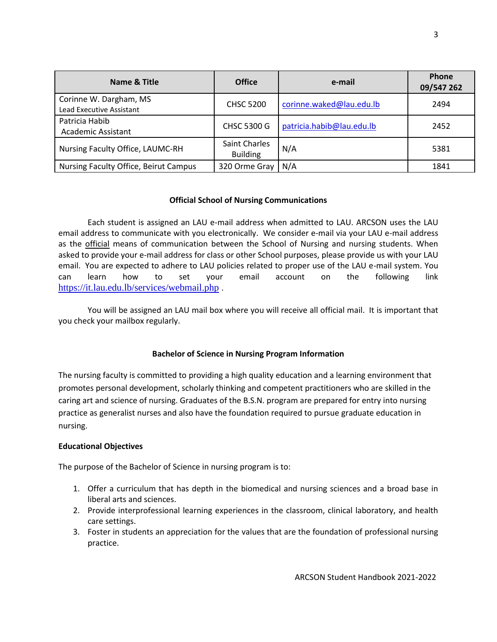| Name & Title                                       | <b>Office</b>                    | e-mail                    | Phone<br>09/547 262 |
|----------------------------------------------------|----------------------------------|---------------------------|---------------------|
| Corinne W. Dargham, MS<br>Lead Executive Assistant | <b>CHSC 5200</b>                 | corinne.waked@lau.edu.lb  | 2494                |
| Patricia Habib<br>Academic Assistant               | <b>CHSC 5300 G</b>               | patricia.habib@lau.edu.lb | 2452                |
| Nursing Faculty Office, LAUMC-RH                   | Saint Charles<br><b>Building</b> | N/A                       | 5381                |
| Nursing Faculty Office, Beirut Campus              | 320 Orme Gray                    | N/A                       | 1841                |

## **Official School of Nursing Communications**

Each student is assigned an LAU e-mail address when admitted to LAU. ARCSON uses the LAU email address to communicate with you electronically. We consider e-mail via your LAU e-mail address as the official means of communication between the School of Nursing and nursing students. When asked to provide your e-mail address for class or other School purposes, please provide us with your LAU email. You are expected to adhere to LAU policies related to proper use of the LAU e-mail system. You can learn how to set your email account on the following link <https://it.lau.edu.lb/services/webmail.php> .

You will be assigned an LAU mail box where you will receive all official mail. It is important that you check your mailbox regularly.

## **Bachelor of Science in Nursing Program Information**

The nursing faculty is committed to providing a high quality education and a learning environment that promotes personal development, scholarly thinking and competent practitioners who are skilled in the caring art and science of nursing. Graduates of the B.S.N. program are prepared for entry into nursing practice as generalist nurses and also have the foundation required to pursue graduate education in nursing.

## **Educational Objectives**

The purpose of the Bachelor of Science in nursing program is to:

- 1. Offer a curriculum that has depth in the biomedical and nursing sciences and a broad base in liberal arts and sciences.
- 2. Provide interprofessional learning experiences in the classroom, clinical laboratory, and health care settings.
- 3. Foster in students an appreciation for the values that are the foundation of professional nursing practice.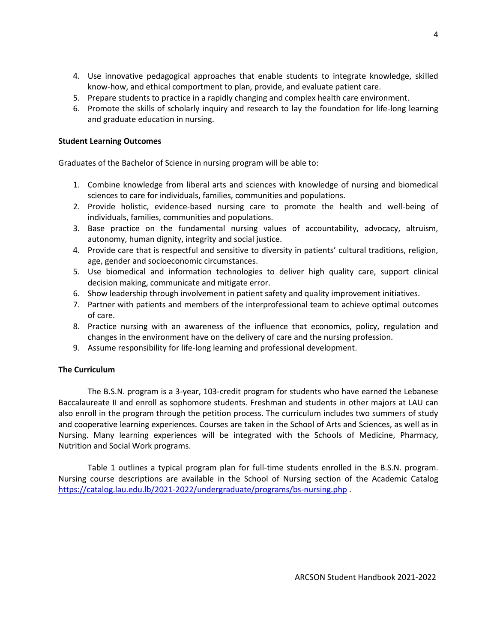- 4. Use innovative pedagogical approaches that enable students to integrate knowledge, skilled know-how, and ethical comportment to plan, provide, and evaluate patient care.
- 5. Prepare students to practice in a rapidly changing and complex health care environment.
- 6. Promote the skills of scholarly inquiry and research to lay the foundation for life-long learning and graduate education in nursing.

## **Student Learning Outcomes**

Graduates of the Bachelor of Science in nursing program will be able to:

- 1. Combine knowledge from liberal arts and sciences with knowledge of nursing and biomedical sciences to care for individuals, families, communities and populations.
- 2. Provide holistic, evidence-based nursing care to promote the health and well-being of individuals, families, communities and populations.
- 3. Base practice on the fundamental nursing values of accountability, advocacy, altruism, autonomy, human dignity, integrity and social justice.
- 4. Provide care that is respectful and sensitive to diversity in patients' cultural traditions, religion, age, gender and socioeconomic circumstances.
- 5. Use biomedical and information technologies to deliver high quality care, support clinical decision making, communicate and mitigate error.
- 6. Show leadership through involvement in patient safety and quality improvement initiatives.
- 7. Partner with patients and members of the interprofessional team to achieve optimal outcomes of care.
- 8. Practice nursing with an awareness of the influence that economics, policy, regulation and changes in the environment have on the delivery of care and the nursing profession.
- 9. Assume responsibility for life-long learning and professional development.

# **The Curriculum**

The B.S.N. program is a 3-year, 103-credit program for students who have earned the Lebanese Baccalaureate II and enroll as sophomore students. Freshman and students in other majors at LAU can also enroll in the program through the petition process. The curriculum includes two summers of study and cooperative learning experiences. Courses are taken in the School of Arts and Sciences, as well as in Nursing. Many learning experiences will be integrated with the Schools of Medicine, Pharmacy, Nutrition and Social Work programs.

Table 1 outlines a typical program plan for full-time students enrolled in the B.S.N. program. Nursing course descriptions are available in the School of Nursing section of the Academic Catalog <https://catalog.lau.edu.lb/2021-2022/undergraduate/programs/bs-nursing.php> .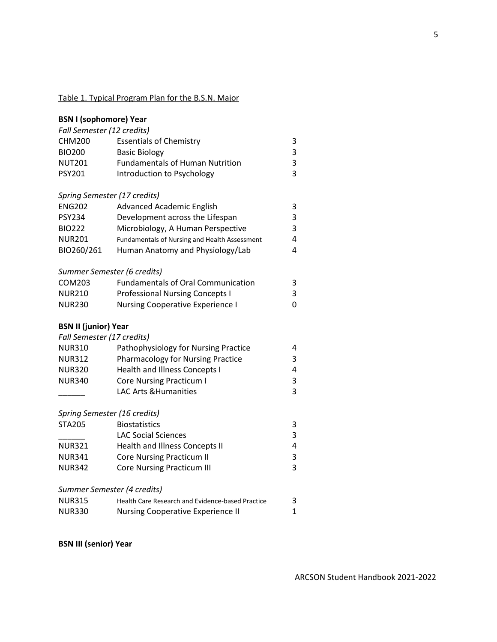## Table 1. Typical Program Plan for the B.S.N. Major

| <b>BSN I (sophomore) Year</b><br>Fall Semester (12 credits) |                                                  |              |
|-------------------------------------------------------------|--------------------------------------------------|--------------|
| <b>CHM200</b>                                               | <b>Essentials of Chemistry</b>                   | 3            |
| <b>BIO200</b>                                               | <b>Basic Biology</b>                             | 3            |
| <b>NUT201</b>                                               | <b>Fundamentals of Human Nutrition</b>           | 3            |
| <b>PSY201</b>                                               | Introduction to Psychology                       | 3            |
|                                                             | Spring Semester (17 credits)                     |              |
| <b>ENG202</b>                                               | <b>Advanced Academic English</b>                 | 3            |
| <b>PSY234</b>                                               | Development across the Lifespan                  | 3            |
| <b>BIO222</b>                                               | Microbiology, A Human Perspective                | 3            |
| <b>NUR201</b>                                               | Fundamentals of Nursing and Health Assessment    | 4            |
| BIO260/261                                                  | Human Anatomy and Physiology/Lab                 | 4            |
|                                                             | Summer Semester (6 credits)                      |              |
| COM203                                                      | <b>Fundamentals of Oral Communication</b>        | 3            |
| <b>NUR210</b>                                               | <b>Professional Nursing Concepts I</b>           | 3            |
| <b>NUR230</b>                                               | <b>Nursing Cooperative Experience I</b>          | 0            |
| <b>BSN II (junior) Year</b>                                 |                                                  |              |
| Fall Semester (17 credits)                                  |                                                  |              |
| <b>NUR310</b>                                               | Pathophysiology for Nursing Practice             | 4            |
| <b>NUR312</b>                                               | <b>Pharmacology for Nursing Practice</b>         | 3            |
| <b>NUR320</b>                                               | <b>Health and Illness Concepts I</b>             | 4            |
| <b>NUR340</b>                                               | <b>Core Nursing Practicum I</b>                  | 3            |
|                                                             | <b>LAC Arts &amp; Humanities</b>                 | 3            |
|                                                             | Spring Semester (16 credits)                     |              |
| <b>STA205</b>                                               | <b>Biostatistics</b>                             | 3            |
|                                                             | <b>LAC Social Sciences</b>                       | 3            |
| <b>NUR321</b>                                               | Health and Illness Concepts II                   | 4            |
| <b>NUR341</b>                                               | <b>Core Nursing Practicum II</b>                 | 3            |
| <b>NUR342</b>                                               | <b>Core Nursing Practicum III</b>                | 3            |
|                                                             | Summer Semester (4 credits)                      |              |
| <b>NUR315</b>                                               | Health Care Research and Evidence-based Practice | 3            |
| <b>NUR330</b>                                               | <b>Nursing Cooperative Experience II</b>         | $\mathbf{1}$ |

**BSN III (senior) Year**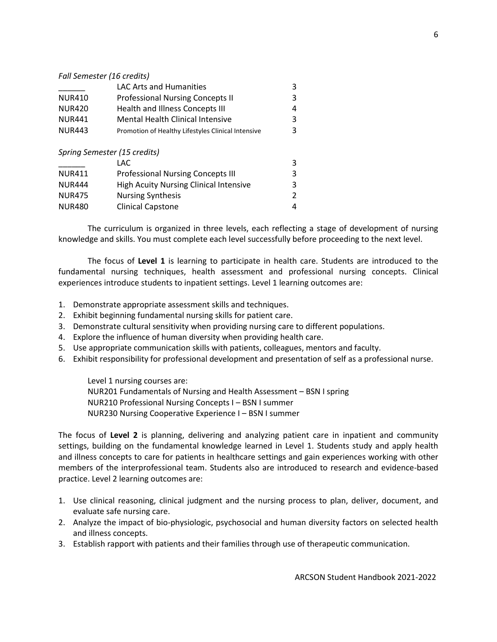#### *Fall Semester (16 credits)*

|                              | <b>LAC Arts and Humanities</b>                     | 3 |
|------------------------------|----------------------------------------------------|---|
| <b>NUR410</b>                | <b>Professional Nursing Concepts II</b>            | 3 |
| <b>NUR420</b>                | Health and Illness Concepts III                    | 4 |
| <b>NUR441</b>                | Mental Health Clinical Intensive                   | 3 |
| <b>NUR443</b>                | Promotion of Healthy Lifestyles Clinical Intensive | З |
| Spring Semester (15 credits) |                                                    |   |
|                              | LAC                                                | 3 |
| <b>NUR411</b>                | <b>Professional Nursing Concepts III</b>           | 3 |
| <b>NUR444</b>                | <b>High Acuity Nursing Clinical Intensive</b>      | 3 |
| <b>NUR475</b>                | <b>Nursing Synthesis</b>                           | 2 |
| <b>NUR480</b>                | <b>Clinical Capstone</b>                           | 4 |

The curriculum is organized in three levels, each reflecting a stage of development of nursing knowledge and skills. You must complete each level successfully before proceeding to the next level.

The focus of **Level 1** is learning to participate in health care. Students are introduced to the fundamental nursing techniques, health assessment and professional nursing concepts. Clinical experiences introduce students to inpatient settings. Level 1 learning outcomes are:

- 1. Demonstrate appropriate assessment skills and techniques.
- 2. Exhibit beginning fundamental nursing skills for patient care.
- 3. Demonstrate cultural sensitivity when providing nursing care to different populations.
- 4. Explore the influence of human diversity when providing health care.
- 5. Use appropriate communication skills with patients, colleagues, mentors and faculty.
- 6. Exhibit responsibility for professional development and presentation of self as a professional nurse.

Level 1 nursing courses are: NUR201 Fundamentals of Nursing and Health Assessment – BSN I spring NUR210 Professional Nursing Concepts I – BSN I summer NUR230 Nursing Cooperative Experience I – BSN I summer

The focus of **Level 2** is planning, delivering and analyzing patient care in inpatient and community settings, building on the fundamental knowledge learned in Level 1. Students study and apply health and illness concepts to care for patients in healthcare settings and gain experiences working with other members of the interprofessional team. Students also are introduced to research and evidence-based practice. Level 2 learning outcomes are:

- 1. Use clinical reasoning, clinical judgment and the nursing process to plan, deliver, document, and evaluate safe nursing care.
- 2. Analyze the impact of bio-physiologic, psychosocial and human diversity factors on selected health and illness concepts.
- 3. Establish rapport with patients and their families through use of therapeutic communication.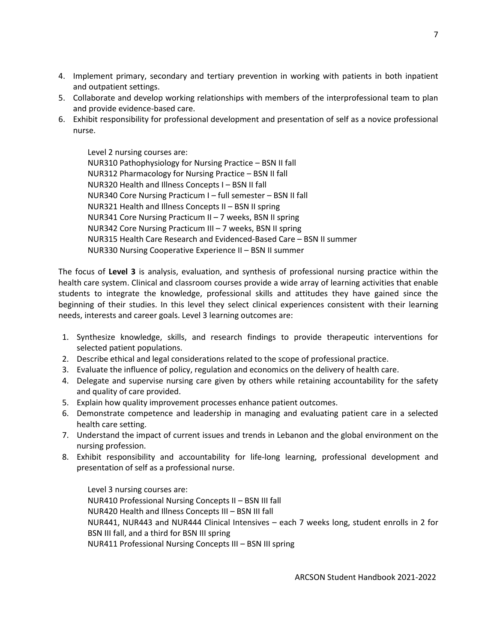- 4. Implement primary, secondary and tertiary prevention in working with patients in both inpatient and outpatient settings.
- 5. Collaborate and develop working relationships with members of the interprofessional team to plan and provide evidence-based care.
- 6. Exhibit responsibility for professional development and presentation of self as a novice professional nurse.

Level 2 nursing courses are: NUR310 Pathophysiology for Nursing Practice – BSN II fall NUR312 Pharmacology for Nursing Practice – BSN II fall NUR320 Health and Illness Concepts I – BSN II fall NUR340 Core Nursing Practicum I – full semester – BSN II fall NUR321 Health and Illness Concepts II – BSN II spring NUR341 Core Nursing Practicum II – 7 weeks, BSN II spring NUR342 Core Nursing Practicum III – 7 weeks, BSN II spring NUR315 Health Care Research and Evidenced-Based Care – BSN II summer NUR330 Nursing Cooperative Experience II – BSN II summer

The focus of **Level 3** is analysis, evaluation, and synthesis of professional nursing practice within the health care system. Clinical and classroom courses provide a wide array of learning activities that enable students to integrate the knowledge, professional skills and attitudes they have gained since the beginning of their studies. In this level they select clinical experiences consistent with their learning needs, interests and career goals. Level 3 learning outcomes are:

- 1. Synthesize knowledge, skills, and research findings to provide therapeutic interventions for selected patient populations.
- 2. Describe ethical and legal considerations related to the scope of professional practice.
- 3. Evaluate the influence of policy, regulation and economics on the delivery of health care.
- 4. Delegate and supervise nursing care given by others while retaining accountability for the safety and quality of care provided.
- 5. Explain how quality improvement processes enhance patient outcomes.
- 6. Demonstrate competence and leadership in managing and evaluating patient care in a selected health care setting.
- 7. Understand the impact of current issues and trends in Lebanon and the global environment on the nursing profession.
- 8. Exhibit responsibility and accountability for life-long learning, professional development and presentation of self as a professional nurse.

Level 3 nursing courses are: NUR410 Professional Nursing Concepts II – BSN III fall NUR420 Health and Illness Concepts III – BSN III fall NUR441, NUR443 and NUR444 Clinical Intensives – each 7 weeks long, student enrolls in 2 for BSN III fall, and a third for BSN III spring NUR411 Professional Nursing Concepts III – BSN III spring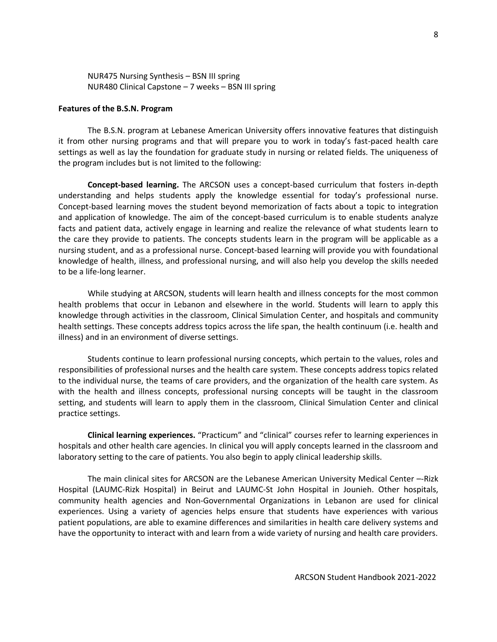NUR475 Nursing Synthesis – BSN III spring NUR480 Clinical Capstone – 7 weeks – BSN III spring

#### **Features of the B.S.N. Program**

The B.S.N. program at Lebanese American University offers innovative features that distinguish it from other nursing programs and that will prepare you to work in today's fast-paced health care settings as well as lay the foundation for graduate study in nursing or related fields. The uniqueness of the program includes but is not limited to the following:

**Concept-based learning.** The ARCSON uses a concept-based curriculum that fosters in-depth understanding and helps students apply the knowledge essential for today's professional nurse. Concept-based learning moves the student beyond memorization of facts about a topic to integration and application of knowledge. The aim of the concept-based curriculum is to enable students analyze facts and patient data, actively engage in learning and realize the relevance of what students learn to the care they provide to patients. The concepts students learn in the program will be applicable as a nursing student, and as a professional nurse. Concept-based learning will provide you with foundational knowledge of health, illness, and professional nursing, and will also help you develop the skills needed to be a life-long learner.

While studying at ARCSON, students will learn health and illness concepts for the most common health problems that occur in Lebanon and elsewhere in the world. Students will learn to apply this knowledge through activities in the classroom, Clinical Simulation Center, and hospitals and community health settings. These concepts address topics across the life span, the health continuum (i.e. health and illness) and in an environment of diverse settings.

Students continue to learn professional nursing concepts, which pertain to the values, roles and responsibilities of professional nurses and the health care system. These concepts address topics related to the individual nurse, the teams of care providers, and the organization of the health care system. As with the health and illness concepts, professional nursing concepts will be taught in the classroom setting, and students will learn to apply them in the classroom, Clinical Simulation Center and clinical practice settings.

**Clinical learning experiences.** "Practicum" and "clinical" courses refer to learning experiences in hospitals and other health care agencies. In clinical you will apply concepts learned in the classroom and laboratory setting to the care of patients. You also begin to apply clinical leadership skills.

The main clinical sites for ARCSON are the Lebanese American University Medical Center –-Rizk Hospital (LAUMC-Rizk Hospital) in Beirut and LAUMC-St John Hospital in Jounieh. Other hospitals, community health agencies and Non-Governmental Organizations in Lebanon are used for clinical experiences. Using a variety of agencies helps ensure that students have experiences with various patient populations, are able to examine differences and similarities in health care delivery systems and have the opportunity to interact with and learn from a wide variety of nursing and health care providers.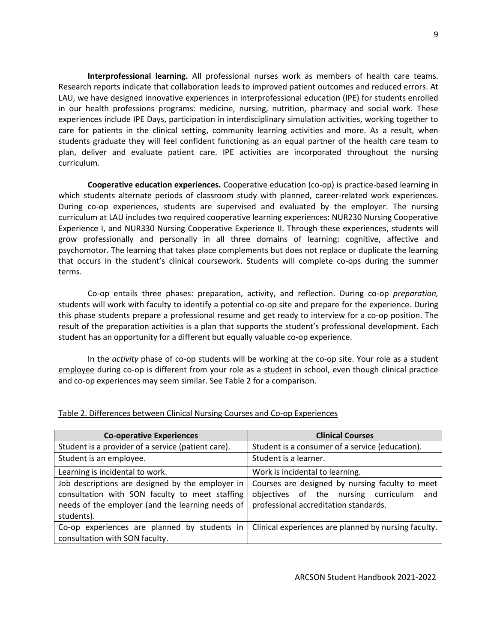**Interprofessional learning.** All professional nurses work as members of health care teams. Research reports indicate that collaboration leads to improved patient outcomes and reduced errors. At LAU, we have designed innovative experiences in interprofessional education (IPE) for students enrolled in our health professions programs: medicine, nursing, nutrition, pharmacy and social work. These experiences include IPE Days, participation in interdisciplinary simulation activities, working together to care for patients in the clinical setting, community learning activities and more. As a result, when students graduate they will feel confident functioning as an equal partner of the health care team to plan, deliver and evaluate patient care. IPE activities are incorporated throughout the nursing curriculum.

**Cooperative education experiences.** Cooperative education (co-op) is practice-based learning in which students alternate periods of classroom study with planned, career-related work experiences. During co-op experiences, students are supervised and evaluated by the employer. The nursing curriculum at LAU includes two required cooperative learning experiences: NUR230 Nursing Cooperative Experience I, and NUR330 Nursing Cooperative Experience II. Through these experiences, students will grow professionally and personally in all three domains of learning: cognitive, affective and psychomotor. The learning that takes place complements but does not replace or duplicate the learning that occurs in the student's clinical coursework. Students will complete co-ops during the summer terms.

Co-op entails three phases: preparation, activity, and reflection. During co-op *preparation,* students will work with faculty to identify a potential co-op site and prepare for the experience. During this phase students prepare a professional resume and get ready to interview for a co-op position. The result of the preparation activities is a plan that supports the student's professional development. Each student has an opportunity for a different but equally valuable co-op experience.

In the *activity* phase of co-op students will be working at the co-op site. Your role as a student employee during co-op is different from your role as a student in school, even though clinical practice and co-op experiences may seem similar. See Table 2 for a comparison.

| <b>Co-operative Experiences</b>                                                                                                                                      | <b>Clinical Courses</b>                                                                                                                 |
|----------------------------------------------------------------------------------------------------------------------------------------------------------------------|-----------------------------------------------------------------------------------------------------------------------------------------|
| Student is a provider of a service (patient care).                                                                                                                   | Student is a consumer of a service (education).                                                                                         |
| Student is an employee.                                                                                                                                              | Student is a learner.                                                                                                                   |
| Learning is incidental to work.                                                                                                                                      | Work is incidental to learning.                                                                                                         |
| Job descriptions are designed by the employer in<br>consultation with SON faculty to meet staffing<br>needs of the employer (and the learning needs of<br>students). | Courses are designed by nursing faculty to meet<br>objectives of the nursing curriculum<br>and<br>professional accreditation standards. |
| Co-op experiences are planned by students in<br>consultation with SON faculty.                                                                                       | Clinical experiences are planned by nursing faculty.                                                                                    |

## Table 2. Differences between Clinical Nursing Courses and Co-op Experiences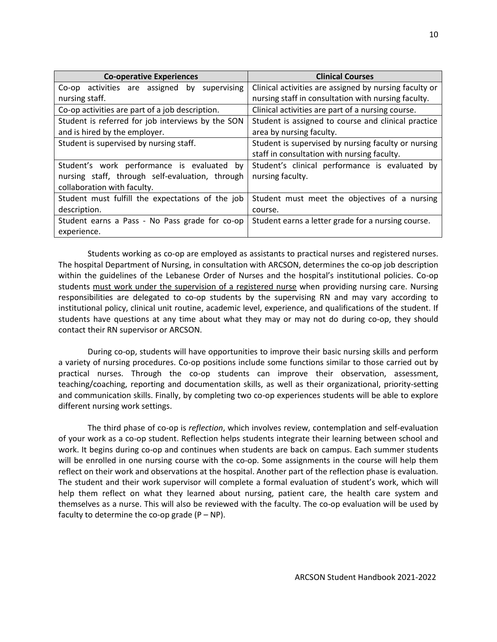| <b>Co-operative Experiences</b>                    | <b>Clinical Courses</b>                                |
|----------------------------------------------------|--------------------------------------------------------|
| Co-op activities are assigned<br>supervising<br>by | Clinical activities are assigned by nursing faculty or |
| nursing staff.                                     | nursing staff in consultation with nursing faculty.    |
| Co-op activities are part of a job description.    | Clinical activities are part of a nursing course.      |
| Student is referred for job interviews by the SON  | Student is assigned to course and clinical practice    |
| and is hired by the employer.                      | area by nursing faculty.                               |
| Student is supervised by nursing staff.            | Student is supervised by nursing faculty or nursing    |
|                                                    | staff in consultation with nursing faculty.            |
| Student's work performance is evaluated by         | Student's clinical performance is evaluated<br>bv      |
| nursing staff, through self-evaluation, through    | nursing faculty.                                       |
| collaboration with faculty.                        |                                                        |
| Student must fulfill the expectations of the job   | Student must meet the objectives of a nursing          |
| description.                                       | course.                                                |
| Student earns a Pass - No Pass grade for co-op     | Student earns a letter grade for a nursing course.     |
| experience.                                        |                                                        |

Students working as co-op are employed as assistants to practical nurses and registered nurses. The hospital Department of Nursing, in consultation with ARCSON, determines the co-op job description within the guidelines of the Lebanese Order of Nurses and the hospital's institutional policies. Co-op students must work under the supervision of a registered nurse when providing nursing care. Nursing responsibilities are delegated to co-op students by the supervising RN and may vary according to institutional policy, clinical unit routine, academic level, experience, and qualifications of the student. If students have questions at any time about what they may or may not do during co-op, they should contact their RN supervisor or ARCSON.

During co-op, students will have opportunities to improve their basic nursing skills and perform a variety of nursing procedures. Co-op positions include some functions similar to those carried out by practical nurses. Through the co-op students can improve their observation, assessment, teaching/coaching, reporting and documentation skills, as well as their organizational, priority-setting and communication skills. Finally, by completing two co-op experiences students will be able to explore different nursing work settings.

The third phase of co-op is *reflection*, which involves review, contemplation and self-evaluation of your work as a co-op student. Reflection helps students integrate their learning between school and work. It begins during co-op and continues when students are back on campus. Each summer students will be enrolled in one nursing course with the co-op. Some assignments in the course will help them reflect on their work and observations at the hospital. Another part of the reflection phase is evaluation. The student and their work supervisor will complete a formal evaluation of student's work, which will help them reflect on what they learned about nursing, patient care, the health care system and themselves as a nurse. This will also be reviewed with the faculty. The co-op evaluation will be used by faculty to determine the co-op grade  $(P - NP)$ .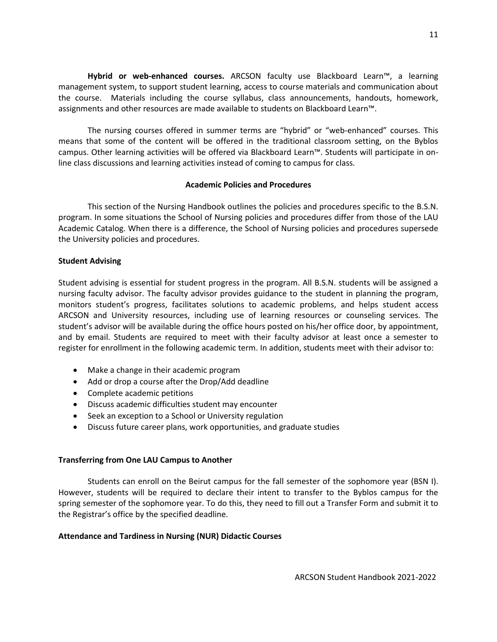**Hybrid or web-enhanced courses.** ARCSON faculty use Blackboard Learn™, a learning management system, to support student learning, access to course materials and communication about the course. Materials including the course syllabus, class announcements, handouts, homework, assignments and other resources are made available to students on Blackboard Learn™.

The nursing courses offered in summer terms are "hybrid" or "web-enhanced" courses. This means that some of the content will be offered in the traditional classroom setting, on the Byblos campus. Other learning activities will be offered via Blackboard Learn™. Students will participate in online class discussions and learning activities instead of coming to campus for class.

#### **Academic Policies and Procedures**

This section of the Nursing Handbook outlines the policies and procedures specific to the B.S.N. program. In some situations the School of Nursing policies and procedures differ from those of the LAU Academic Catalog. When there is a difference, the School of Nursing policies and procedures supersede the University policies and procedures.

#### **Student Advising**

Student advising is essential for student progress in the program. All B.S.N. students will be assigned a nursing faculty advisor. The faculty advisor provides guidance to the student in planning the program, monitors student's progress, facilitates solutions to academic problems, and helps student access ARCSON and University resources, including use of learning resources or counseling services. The student's advisor will be available during the office hours posted on his/her office door, by appointment, and by email. Students are required to meet with their faculty advisor at least once a semester to register for enrollment in the following academic term. In addition, students meet with their advisor to:

- Make a change in their academic program
- Add or drop a course after the Drop/Add deadline
- Complete academic petitions
- Discuss academic difficulties student may encounter
- Seek an exception to a School or University regulation
- Discuss future career plans, work opportunities, and graduate studies

## **Transferring from One LAU Campus to Another**

Students can enroll on the Beirut campus for the fall semester of the sophomore year (BSN I). However, students will be required to declare their intent to transfer to the Byblos campus for the spring semester of the sophomore year. To do this, they need to fill out a Transfer Form and submit it to the Registrar's office by the specified deadline.

## **Attendance and Tardiness in Nursing (NUR) Didactic Courses**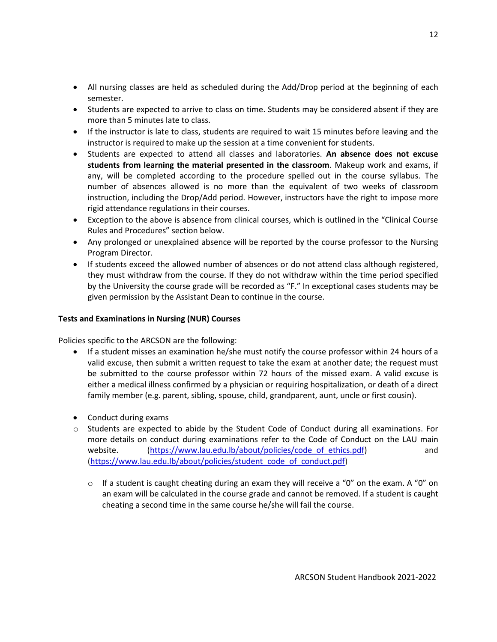- All nursing classes are held as scheduled during the Add/Drop period at the beginning of each semester.
- Students are expected to arrive to class on time. Students may be considered absent if they are more than 5 minutes late to class.
- If the instructor is late to class, students are required to wait 15 minutes before leaving and the instructor is required to make up the session at a time convenient for students.
- Students are expected to attend all classes and laboratories. **An absence does not excuse students from learning the material presented in the classroom**. Makeup work and exams, if any, will be completed according to the procedure spelled out in the course syllabus. The number of absences allowed is no more than the equivalent of two weeks of classroom instruction, including the Drop/Add period. However, instructors have the right to impose more rigid attendance regulations in their courses.
- Exception to the above is absence from clinical courses, which is outlined in the "Clinical Course Rules and Procedures" section below.
- Any prolonged or unexplained absence will be reported by the course professor to the Nursing Program Director.
- If students exceed the allowed number of absences or do not attend class although registered, they must withdraw from the course. If they do not withdraw within the time period specified by the University the course grade will be recorded as "F." In exceptional cases students may be given permission by the Assistant Dean to continue in the course.

## **Tests and Examinations in Nursing (NUR) Courses**

Policies specific to the ARCSON are the following:

- If a student misses an examination he/she must notify the course professor within 24 hours of a valid excuse, then submit a written request to take the exam at another date; the request must be submitted to the course professor within 72 hours of the missed exam. A valid excuse is either a medical illness confirmed by a physician or requiring hospitalization, or death of a direct family member (e.g. parent, sibling, spouse, child, grandparent, aunt, uncle or first cousin).
- Conduct during exams
- $\circ$  Students are expected to abide by the Student Code of Conduct during all examinations. For more details on conduct during examinations refer to the Code of Conduct on the LAU main website. [\(https://www.lau.edu.lb/about/policies/code\\_of\\_ethics.pdf\)](https://www.lau.edu.lb/about/policies/code_of_ethics.pdf) and [\(https://www.lau.edu.lb/about/policies/student\\_code\\_of\\_conduct.pdf\)](https://www.lau.edu.lb/about/policies/student_code_of_conduct.pdf)
	- $\circ$  If a student is caught cheating during an exam they will receive a "0" on the exam. A "0" on an exam will be calculated in the course grade and cannot be removed. If a student is caught cheating a second time in the same course he/she will fail the course.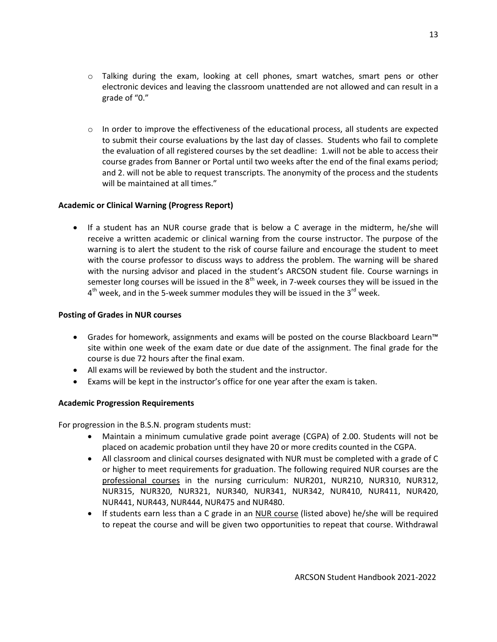- o Talking during the exam, looking at cell phones, smart watches, smart pens or other electronic devices and leaving the classroom unattended are not allowed and can result in a grade of "0."
- $\circ$  In order to improve the effectiveness of the educational process, all students are expected to submit their course evaluations by the last day of classes. Students who fail to complete the evaluation of all registered courses by the set deadline: 1.will not be able to access their course grades from Banner or Portal until two weeks after the end of the final exams period; and 2. will not be able to request transcripts. The anonymity of the process and the students will be maintained at all times."

## **Academic or Clinical Warning (Progress Report)**

 If a student has an NUR course grade that is below a C average in the midterm, he/she will receive a written academic or clinical warning from the course instructor. The purpose of the warning is to alert the student to the risk of course failure and encourage the student to meet with the course professor to discuss ways to address the problem. The warning will be shared with the nursing advisor and placed in the student's ARCSON student file. Course warnings in semester long courses will be issued in the  $8<sup>th</sup>$  week, in 7-week courses they will be issued in the  $4^{\text{th}}$  week, and in the 5-week summer modules they will be issued in the 3<sup>rd</sup> week.

## **Posting of Grades in NUR courses**

- Grades for homework, assignments and exams will be posted on the course Blackboard Learn™ site within one week of the exam date or due date of the assignment. The final grade for the course is due 72 hours after the final exam.
- All exams will be reviewed by both the student and the instructor.
- Exams will be kept in the instructor's office for one year after the exam is taken.

## **Academic Progression Requirements**

For progression in the B.S.N. program students must:

- Maintain a minimum cumulative grade point average (CGPA) of 2.00. Students will not be placed on academic probation until they have 20 or more credits counted in the CGPA.
- All classroom and clinical courses designated with NUR must be completed with a grade of C or higher to meet requirements for graduation. The following required NUR courses are the professional courses in the nursing curriculum: NUR201, NUR210, NUR310, NUR312, NUR315, NUR320, NUR321, NUR340, NUR341, NUR342, NUR410, NUR411, NUR420, NUR441, NUR443, NUR444, NUR475 and NUR480.
- If students earn less than a C grade in an NUR course (listed above) he/she will be required to repeat the course and will be given two opportunities to repeat that course. Withdrawal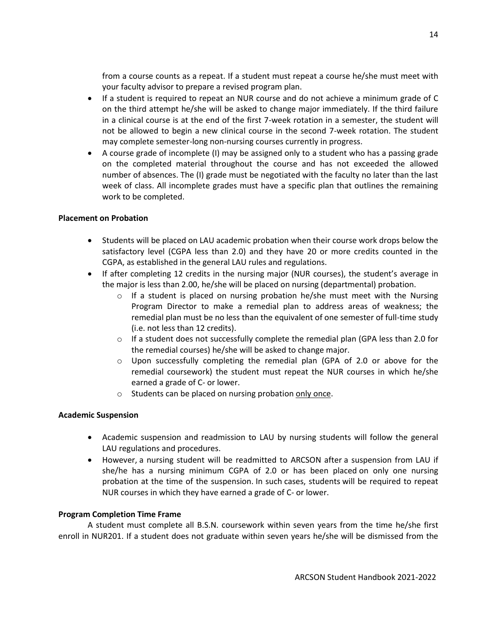from a course counts as a repeat. If a student must repeat a course he/she must meet with your faculty advisor to prepare a revised program plan.

- If a student is required to repeat an NUR course and do not achieve a minimum grade of C on the third attempt he/she will be asked to change major immediately. If the third failure in a clinical course is at the end of the first 7-week rotation in a semester, the student will not be allowed to begin a new clinical course in the second 7-week rotation. The student may complete semester-long non-nursing courses currently in progress.
- A course grade of incomplete (I) may be assigned only to a student who has a passing grade on the completed material throughout the course and has not exceeded the allowed number of absences. The (I) grade must be negotiated with the faculty no later than the last week of class. All incomplete grades must have a specific plan that outlines the remaining work to be completed.

## **Placement on Probation**

- Students will be placed on LAU academic probation when their course work drops below the satisfactory level (CGPA less than 2.0) and they have 20 or more credits counted in the CGPA, as established in the general LAU rules and regulations.
- If after completing 12 credits in the nursing major (NUR courses), the student's average in the major is less than 2.00, he/she will be placed on nursing (departmental) probation.
	- $\circ$  If a student is placed on nursing probation he/she must meet with the Nursing Program Director to make a remedial plan to address areas of weakness; the remedial plan must be no less than the equivalent of one semester of full-time study (i.e. not less than 12 credits).
	- $\circ$  If a student does not successfully complete the remedial plan (GPA less than 2.0 for the remedial courses) he/she will be asked to change major.
	- $\circ$  Upon successfully completing the remedial plan (GPA of 2.0 or above for the remedial coursework) the student must repeat the NUR courses in which he/she earned a grade of C- or lower.
	- o Students can be placed on nursing probation only once.

# **Academic Suspension**

- Academic suspension and readmission to LAU by nursing students will follow the general LAU regulations and procedures.
- However, a nursing student will be readmitted to ARCSON after a suspension from LAU if she/he has a nursing minimum CGPA of 2.0 or has been placed on only one nursing probation at the time of the suspension. In such cases, students will be required to repeat NUR courses in which they have earned a grade of C- or lower.

# **Program Completion Time Frame**

A student must complete all B.S.N. coursework within seven years from the time he/she first enroll in NUR201. If a student does not graduate within seven years he/she will be dismissed from the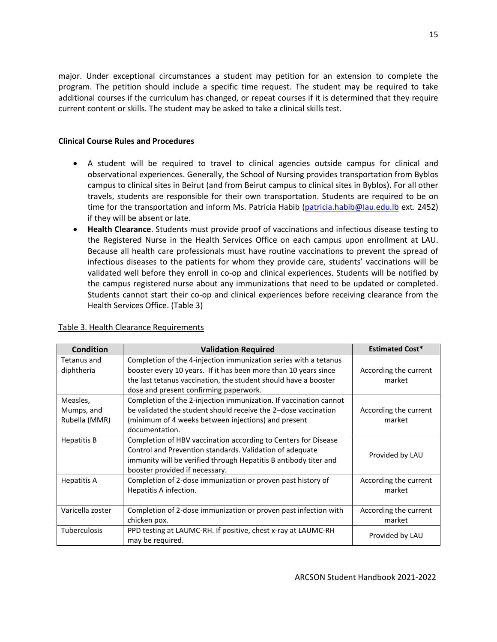major. Under exceptional circumstances a student may petition for an extension to complete the program. The petition should include a specific time request. The student may be required to take additional courses if the curriculum has changed, or repeat courses if it is determined that they require current content or skills. The student may be asked to take a clinical skills test.

## **Clinical Course Rules and Procedures**

- A student will be required to travel to clinical agencies outside campus for clinical and observational experiences. Generally, the School of Nursing provides transportation from Byblos campus to clinical sites in Beirut (and from Beirut campus to clinical sites in Byblos). For all other travels, students are responsible for their own transportation. Students are required to be on time for the transportation and inform Ms. Patricia Habib [\(patricia.habib@lau.edu.lb](mailto:patricia.habib@lau.edu.lb) ext. 2452) if they will be absent or late.
- **Health Clearance**. Students must provide proof of vaccinations and infectious disease testing to the Registered Nurse in the Health Services Office on each campus upon enrollment at LAU. Because all health care professionals must have routine vaccinations to prevent the spread of infectious diseases to the patients for whom they provide care, students' vaccinations will be validated well before they enroll in co-op and clinical experiences. Students will be notified by the campus registered nurse about any immunizations that need to be updated or completed. Students cannot start their co-op and clinical experiences before receiving clearance from the Health Services Office. (Table 3)

| <b>Condition</b>    | <b>Validation Required</b>                                        | <b>Estimated Cost*</b> |
|---------------------|-------------------------------------------------------------------|------------------------|
| Tetanus and         | Completion of the 4-injection immunization series with a tetanus  |                        |
| diphtheria          | booster every 10 years. If it has been more than 10 years since   | According the current  |
|                     | the last tetanus vaccination, the student should have a booster   | market                 |
|                     | dose and present confirming paperwork.                            |                        |
| Measles,            | Completion of the 2-injection immunization. If vaccination cannot |                        |
| Mumps, and          | be validated the student should receive the 2-dose vaccination    | According the current  |
| Rubella (MMR)       | (minimum of 4 weeks between injections) and present               | market                 |
|                     | documentation.                                                    |                        |
| <b>Hepatitis B</b>  | Completion of HBV vaccination according to Centers for Disease    |                        |
|                     | Control and Prevention standards. Validation of adequate          | Provided by LAU        |
|                     | immunity will be verified through Hepatitis B antibody titer and  |                        |
|                     | booster provided if necessary.                                    |                        |
| <b>Hepatitis A</b>  | Completion of 2-dose immunization or proven past history of       | According the current  |
|                     | Hepatitis A infection.                                            | market                 |
|                     |                                                                   |                        |
| Varicella zoster    | Completion of 2-dose immunization or proven past infection with   | According the current  |
|                     | chicken pox.                                                      | market                 |
| <b>Tuberculosis</b> | PPD testing at LAUMC-RH. If positive, chest x-ray at LAUMC-RH     |                        |
|                     | may be required.                                                  | Provided by LAU        |

## Table 3. Health Clearance Requirements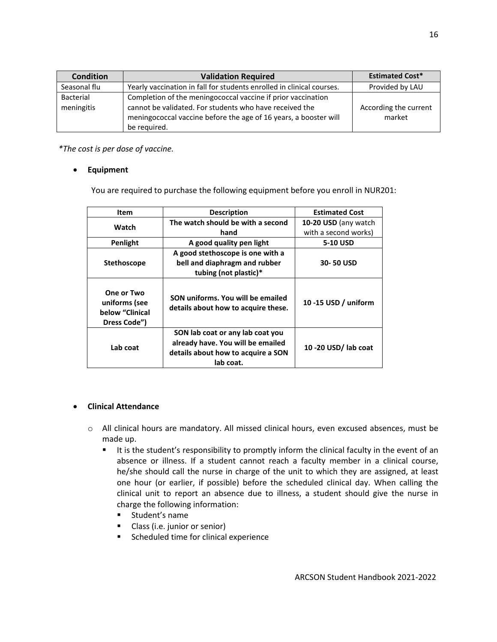| <b>Condition</b> | <b>Validation Required</b>                                            | <b>Estimated Cost*</b> |
|------------------|-----------------------------------------------------------------------|------------------------|
| Seasonal flu     | Yearly vaccination in fall for students enrolled in clinical courses. | Provided by LAU        |
| <b>Bacterial</b> | Completion of the meningococcal vaccine if prior vaccination          |                        |
| meningitis       | cannot be validated. For students who have received the               | According the current  |
|                  | meningococcal vaccine before the age of 16 years, a booster will      | market                 |
|                  | be required.                                                          |                        |

*\*The cost is per dose of vaccine.*

## **Equipment**

You are required to purchase the following equipment before you enroll in NUR201:

| Item                                                           | <b>Description</b>                                                                                                       | <b>Estimated Cost</b> |
|----------------------------------------------------------------|--------------------------------------------------------------------------------------------------------------------------|-----------------------|
| Watch                                                          | The watch should be with a second                                                                                        | 10-20 USD (any watch  |
|                                                                | hand                                                                                                                     | with a second works)  |
| Penlight                                                       | A good quality pen light                                                                                                 | 5-10 USD              |
| <b>Stethoscope</b>                                             | A good stethoscope is one with a<br>bell and diaphragm and rubber<br>tubing (not plastic)*                               | 30-50 USD             |
| One or Two<br>uniforms (see<br>below "Clinical<br>Dress Code") | SON uniforms. You will be emailed<br>details about how to acquire these.                                                 | 10 -15 USD / uniform  |
| Lab coat                                                       | SON lab coat or any lab coat you<br>already have. You will be emailed<br>details about how to acquire a SON<br>lab coat. | 10 -20 USD/ lab coat  |

## **Clinical Attendance**

- o All clinical hours are mandatory. All missed clinical hours, even excused absences, must be made up.
	- It is the student's responsibility to promptly inform the clinical faculty in the event of an absence or illness. If a student cannot reach a faculty member in a clinical course, he/she should call the nurse in charge of the unit to which they are assigned, at least one hour (or earlier, if possible) before the scheduled clinical day. When calling the clinical unit to report an absence due to illness, a student should give the nurse in charge the following information:
		- **EXECUTE:** Student's name
		- **Class (i.e. junior or senior)**
		- **Scheduled time for clinical experience**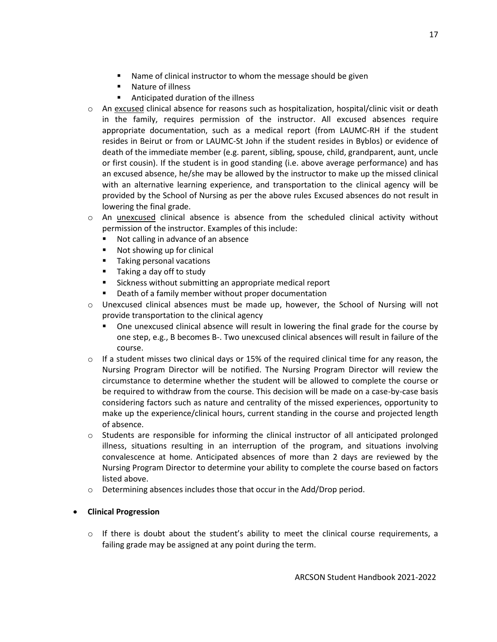- Name of clinical instructor to whom the message should be given
- Nature of illness
- Anticipated duration of the illness
- o An excused clinical absence for reasons such as hospitalization, hospital/clinic visit or death in the family, requires permission of the instructor. All excused absences require appropriate documentation, such as a medical report (from LAUMC-RH if the student resides in Beirut or from or LAUMC-St John if the student resides in Byblos) or evidence of death of the immediate member (e.g. parent, sibling, spouse, child, grandparent, aunt, uncle or first cousin). If the student is in good standing (i.e. above average performance) and has an excused absence, he/she may be allowed by the instructor to make up the missed clinical with an alternative learning experience, and transportation to the clinical agency will be provided by the School of Nursing as per the above rules Excused absences do not result in lowering the final grade.
- o An unexcused clinical absence is absence from the scheduled clinical activity without permission of the instructor. Examples of this include:
	- Not calling in advance of an absence
	- **Not showing up for clinical**
	- **Taking personal vacations**
	- **Taking a day off to study**
	- Sickness without submitting an appropriate medical report
	- Death of a family member without proper documentation
- $\circ$  Unexcused clinical absences must be made up, however, the School of Nursing will not provide transportation to the clinical agency
	- One unexcused clinical absence will result in lowering the final grade for the course by one step, e.g., B becomes B-. Two unexcused clinical absences will result in failure of the course.
- $\circ$  If a student misses two clinical days or 15% of the required clinical time for any reason, the Nursing Program Director will be notified. The Nursing Program Director will review the circumstance to determine whether the student will be allowed to complete the course or be required to withdraw from the course. This decision will be made on a case-by-case basis considering factors such as nature and centrality of the missed experiences, opportunity to make up the experience/clinical hours, current standing in the course and projected length of absence.
- $\circ$  Students are responsible for informing the clinical instructor of all anticipated prolonged illness, situations resulting in an interruption of the program, and situations involving convalescence at home. Anticipated absences of more than 2 days are reviewed by the Nursing Program Director to determine your ability to complete the course based on factors listed above.
- o Determining absences includes those that occur in the Add/Drop period.
- **Clinical Progression**
	- $\circ$  If there is doubt about the student's ability to meet the clinical course requirements, a failing grade may be assigned at any point during the term.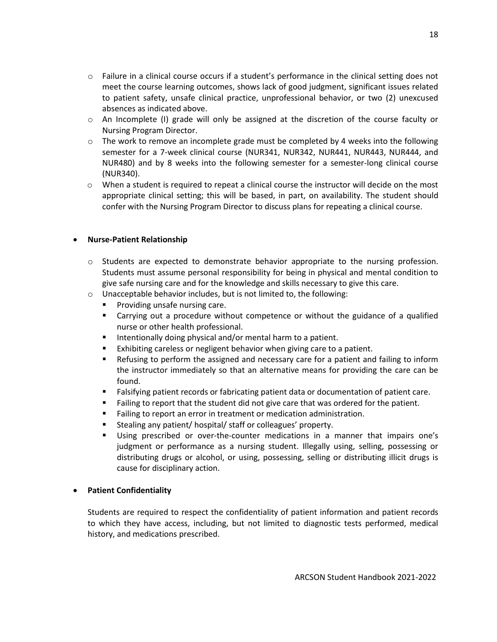- o Failure in a clinical course occurs if a student's performance in the clinical setting does not meet the course learning outcomes, shows lack of good judgment, significant issues related to patient safety, unsafe clinical practice, unprofessional behavior, or two (2) unexcused absences as indicated above.
- o An Incomplete (I) grade will only be assigned at the discretion of the course faculty or Nursing Program Director.
- $\circ$  The work to remove an incomplete grade must be completed by 4 weeks into the following semester for a 7-week clinical course (NUR341, NUR342, NUR441, NUR443, NUR444, and NUR480) and by 8 weeks into the following semester for a semester-long clinical course (NUR340).
- $\circ$  When a student is required to repeat a clinical course the instructor will decide on the most appropriate clinical setting; this will be based, in part, on availability. The student should confer with the Nursing Program Director to discuss plans for repeating a clinical course.

## **Nurse-Patient Relationship**

- o Students are expected to demonstrate behavior appropriate to the nursing profession. Students must assume personal responsibility for being in physical and mental condition to give safe nursing care and for the knowledge and skills necessary to give this care.
- o Unacceptable behavior includes, but is not limited to, the following:
	- **Providing unsafe nursing care.**
	- Carrying out a procedure without competence or without the guidance of a qualified nurse or other health professional.
	- Intentionally doing physical and/or mental harm to a patient.
	- Exhibiting careless or negligent behavior when giving care to a patient.
	- **EXECT** Refusing to perform the assigned and necessary care for a patient and failing to inform the instructor immediately so that an alternative means for providing the care can be found.
	- Falsifying patient records or fabricating patient data or documentation of patient care.
	- Failing to report that the student did not give care that was ordered for the patient.
	- **Failing to report an error in treatment or medication administration.**
	- **Stealing any patient/ hospital/ staff or colleagues' property.**
	- Using prescribed or over-the-counter medications in a manner that impairs one's judgment or performance as a nursing student. Illegally using, selling, possessing or distributing drugs or alcohol, or using, possessing, selling or distributing illicit drugs is cause for disciplinary action.

## **Patient Confidentiality**

Students are required to respect the confidentiality of patient information and patient records to which they have access, including, but not limited to diagnostic tests performed, medical history, and medications prescribed.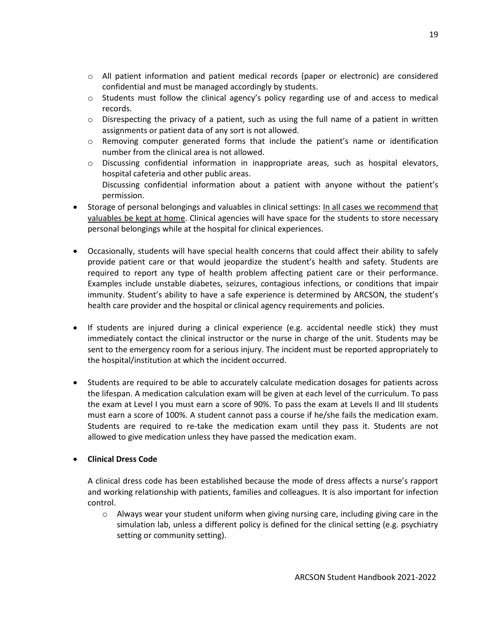- o All patient information and patient medical records (paper or electronic) are considered confidential and must be managed accordingly by students.
- $\circ$  Students must follow the clinical agency's policy regarding use of and access to medical records.
- $\circ$  Disrespecting the privacy of a patient, such as using the full name of a patient in written assignments or patient data of any sort is not allowed.
- o Removing computer generated forms that include the patient's name or identification number from the clinical area is not allowed.
- o Discussing confidential information in inappropriate areas, such as hospital elevators, hospital cafeteria and other public areas. Discussing confidential information about a patient with anyone without the patient's permission.
- Storage of personal belongings and valuables in clinical settings: In all cases we recommend that valuables be kept at home. Clinical agencies will have space for the students to store necessary personal belongings while at the hospital for clinical experiences.
- Occasionally, students will have special health concerns that could affect their ability to safely provide patient care or that would jeopardize the student's health and safety. Students are required to report any type of health problem affecting patient care or their performance. Examples include unstable diabetes, seizures, contagious infections, or conditions that impair immunity. Student's ability to have a safe experience is determined by ARCSON, the student's health care provider and the hospital or clinical agency requirements and policies.
- If students are injured during a clinical experience (e.g. accidental needle stick) they must immediately contact the clinical instructor or the nurse in charge of the unit. Students may be sent to the emergency room for a serious injury. The incident must be reported appropriately to the hospital/institution at which the incident occurred.
- Students are required to be able to accurately calculate medication dosages for patients across the lifespan. A medication calculation exam will be given at each level of the curriculum. To pass the exam at Level I you must earn a score of 90%. To pass the exam at Levels II and III students must earn a score of 100%. A student cannot pass a course if he/she fails the medication exam. Students are required to re-take the medication exam until they pass it. Students are not allowed to give medication unless they have passed the medication exam.

# **Clinical Dress Code**

A clinical dress code has been established because the mode of dress affects a nurse's rapport and working relationship with patients, families and colleagues. It is also important for infection control.

 $\circ$  Always wear your student uniform when giving nursing care, including giving care in the simulation lab, unless a different policy is defined for the clinical setting (e.g. psychiatry setting or community setting).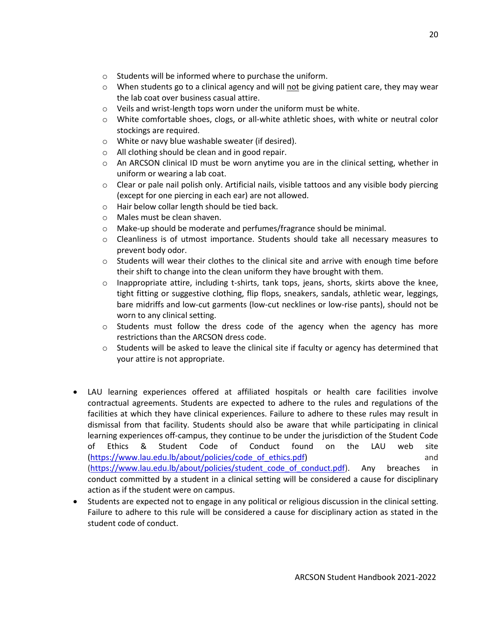- o Students will be informed where to purchase the uniform.
- $\circ$  When students go to a clinical agency and will not be giving patient care, they may wear the lab coat over business casual attire.
- o Veils and wrist-length tops worn under the uniform must be white.
- o White comfortable shoes, clogs, or all-white athletic shoes, with white or neutral color stockings are required.
- o White or navy blue washable sweater (if desired).
- o All clothing should be clean and in good repair.
- o An ARCSON clinical ID must be worn anytime you are in the clinical setting, whether in uniform or wearing a lab coat.
- $\circ$  Clear or pale nail polish only. Artificial nails, visible tattoos and any visible body piercing (except for one piercing in each ear) are not allowed.
- o Hair below collar length should be tied back.
- o Males must be clean shaven.
- $\circ$  Make-up should be moderate and perfumes/fragrance should be minimal.
- $\circ$  Cleanliness is of utmost importance. Students should take all necessary measures to prevent body odor.
- $\circ$  Students will wear their clothes to the clinical site and arrive with enough time before their shift to change into the clean uniform they have brought with them.
- $\circ$  Inappropriate attire, including t-shirts, tank tops, jeans, shorts, skirts above the knee, tight fitting or suggestive clothing, flip flops, sneakers, sandals, athletic wear, leggings, bare midriffs and low-cut garments (low-cut necklines or low-rise pants), should not be worn to any clinical setting.
- $\circ$  Students must follow the dress code of the agency when the agency has more restrictions than the ARCSON dress code.
- $\circ$  Students will be asked to leave the clinical site if faculty or agency has determined that your attire is not appropriate.
- LAU learning experiences offered at affiliated hospitals or health care facilities involve contractual agreements. Students are expected to adhere to the rules and regulations of the facilities at which they have clinical experiences. Failure to adhere to these rules may result in dismissal from that facility. Students should also be aware that while participating in clinical learning experiences off-campus, they continue to be under the jurisdiction of the Student Code of Ethics & Student Code of Conduct found on the LAU web site [\(https://www.lau.edu.lb/about/policies/code\\_of\\_ethics.pdf\)](https://www.lau.edu.lb/about/policies/code_of_ethics.pdf) and [\(https://www.lau.edu.lb/about/policies/student\\_code\\_of\\_conduct.pdf\)](https://www.lau.edu.lb/about/policies/student_code_of_conduct.pdf). Any breaches in conduct committed by a student in a clinical setting will be considered a cause for disciplinary action as if the student were on campus.
- Students are expected not to engage in any political or religious discussion in the clinical setting. Failure to adhere to this rule will be considered a cause for disciplinary action as stated in the student code of conduct.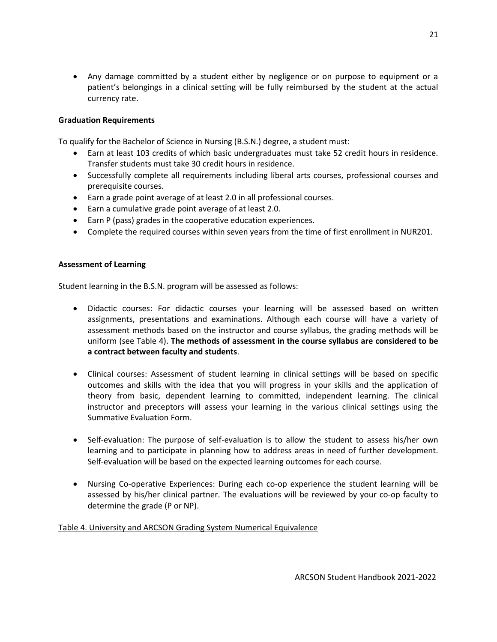Any damage committed by a student either by negligence or on purpose to equipment or a patient's belongings in a clinical setting will be fully reimbursed by the student at the actual currency rate.

## **Graduation Requirements**

To qualify for the Bachelor of Science in Nursing (B.S.N.) degree, a student must:

- Earn at least 103 credits of which basic undergraduates must take 52 credit hours in residence. Transfer students must take 30 credit hours in residence.
- Successfully complete all requirements including liberal arts courses, professional courses and prerequisite courses.
- Earn a grade point average of at least 2.0 in all professional courses.
- Earn a cumulative grade point average of at least 2.0.
- Earn P (pass) grades in the cooperative education experiences.
- Complete the required courses within seven years from the time of first enrollment in NUR201.

## **Assessment of Learning**

Student learning in the B.S.N. program will be assessed as follows:

- Didactic courses: For didactic courses your learning will be assessed based on written assignments, presentations and examinations. Although each course will have a variety of assessment methods based on the instructor and course syllabus, the grading methods will be uniform (see Table 4). **The methods of assessment in the course syllabus are considered to be a contract between faculty and students**.
- Clinical courses: Assessment of student learning in clinical settings will be based on specific outcomes and skills with the idea that you will progress in your skills and the application of theory from basic, dependent learning to committed, independent learning. The clinical instructor and preceptors will assess your learning in the various clinical settings using the Summative Evaluation Form.
- Self-evaluation: The purpose of self-evaluation is to allow the student to assess his/her own learning and to participate in planning how to address areas in need of further development. Self-evaluation will be based on the expected learning outcomes for each course.
- Nursing Co-operative Experiences: During each co-op experience the student learning will be assessed by his/her clinical partner. The evaluations will be reviewed by your co-op faculty to determine the grade (P or NP).

# Table 4. University and ARCSON Grading System Numerical Equivalence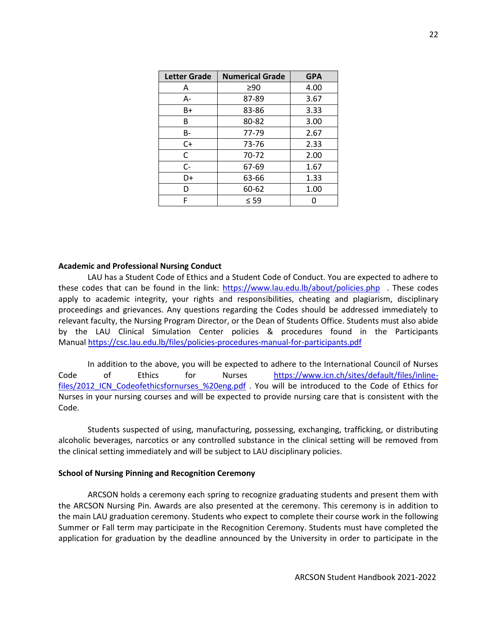| <b>Letter Grade</b> | <b>Numerical Grade</b> | <b>GPA</b> |
|---------------------|------------------------|------------|
| A                   | 290                    | 4.00       |
| А-                  | 87-89                  | 3.67       |
| B+                  | 83-86                  | 3.33       |
| B                   | 80-82                  | 3.00       |
| B-                  | 77-79                  | 2.67       |
| $C+$                | 73-76                  | 2.33       |
| C                   | 70-72                  | 2.00       |
| C-                  | 67-69                  | 1.67       |
| D+                  | 63-66                  | 1.33       |
| D                   | 60-62                  | 1.00       |
| F                   | $\leq$ 59              |            |

#### **Academic and Professional Nursing Conduct**

LAU has a Student Code of Ethics and a Student Code of Conduct. You are expected to adhere to these codes that can be found in the link: <https://www.lau.edu.lb/about/policies.php> . These codes apply to academic integrity, your rights and responsibilities, cheating and plagiarism, disciplinary proceedings and grievances. Any questions regarding the Codes should be addressed immediately to relevant faculty, the Nursing Program Director, or the Dean of Students Office. Students must also abide by the LAU Clinical Simulation Center policies & procedures found in the Participants Manual <https://csc.lau.edu.lb/files/policies-procedures-manual-for-participants.pdf>

In addition to the above, you will be expected to adhere to the International Council of Nurses Code of Ethics for Nurses [https://www.icn.ch/sites/default/files/inline](https://www.icn.ch/sites/default/files/inline-files/2012_ICN_Codeofethicsfornurses_%20eng.pdf)files/2012 ICN Codeofethicsfornurses %20eng.pdf . You will be introduced to the Code of Ethics for Nurses in your nursing courses and will be expected to provide nursing care that is consistent with the Code.

Students suspected of using, manufacturing, possessing, exchanging, trafficking, or distributing alcoholic beverages, narcotics or any controlled substance in the clinical setting will be removed from the clinical setting immediately and will be subject to LAU disciplinary policies.

#### **School of Nursing Pinning and Recognition Ceremony**

ARCSON holds a ceremony each spring to recognize graduating students and present them with the ARCSON Nursing Pin. Awards are also presented at the ceremony. This ceremony is in addition to the main LAU graduation ceremony. Students who expect to complete their course work in the following Summer or Fall term may participate in the Recognition Ceremony. Students must have completed the application for graduation by the deadline announced by the University in order to participate in the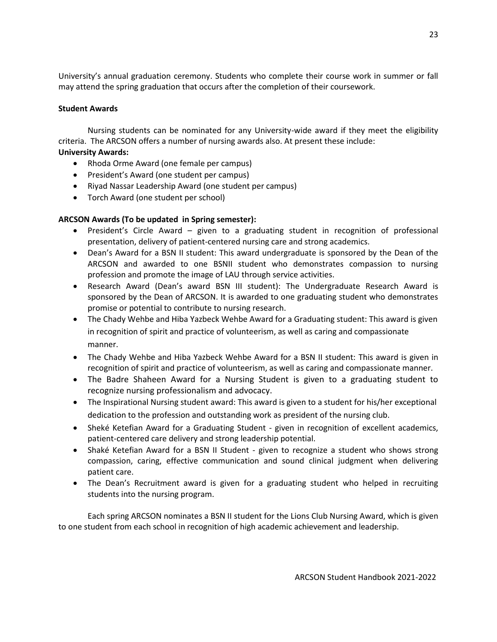University's annual graduation ceremony. Students who complete their course work in summer or fall may attend the spring graduation that occurs after the completion of their coursework.

## **Student Awards**

Nursing students can be nominated for any University-wide award if they meet the eligibility criteria. The ARCSON offers a number of nursing awards also. At present these include:

## **University Awards:**

- Rhoda Orme Award (one female per campus)
- President's Award (one student per campus)
- Riyad Nassar Leadership Award (one student per campus)
- Torch Award (one student per school)

# **ARCSON Awards (To be updated in Spring semester):**

- President's Circle Award given to a graduating student in recognition of professional presentation, delivery of patient-centered nursing care and strong academics.
- Dean's Award for a BSN II student: This award undergraduate is sponsored by the Dean of the ARCSON and awarded to one BSNII student who demonstrates compassion to nursing profession and promote the image of LAU through service activities.
- Research Award (Dean's award BSN III student): The Undergraduate Research Award is sponsored by the Dean of ARCSON. It is awarded to one graduating student who demonstrates promise or potential to contribute to nursing research.
- The Chady Wehbe and Hiba Yazbeck Wehbe Award for a Graduating student: This award is given in recognition of spirit and practice of volunteerism, as well as caring and compassionate manner.
- The Chady Wehbe and Hiba Yazbeck Wehbe Award for a BSN II student: This award is given in recognition of spirit and practice of volunteerism, as well as caring and compassionate manner.
- The Badre Shaheen Award for a Nursing Student is given to a graduating student to recognize nursing professionalism and advocacy.
- The Inspirational Nursing student award: This award is given to a student for his/her exceptional dedication to the profession and outstanding work as president of the nursing club.
- Sheké Ketefian Award for a Graduating Student given in recognition of excellent academics, patient-centered care delivery and strong leadership potential.
- Shaké Ketefian Award for a BSN II Student given to recognize a student who shows strong compassion, caring, effective communication and sound clinical judgment when delivering patient care.
- The Dean's Recruitment award is given for a graduating student who helped in recruiting students into the nursing program.

Each spring ARCSON nominates a BSN II student for the Lions Club Nursing Award, which is given to one student from each school in recognition of high academic achievement and leadership.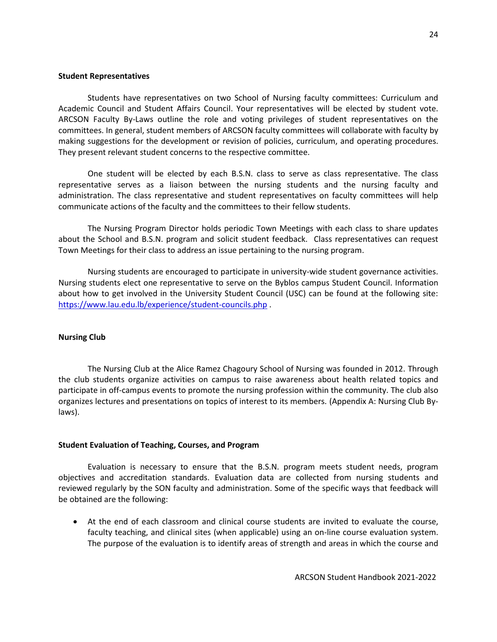#### **Student Representatives**

Students have representatives on two School of Nursing faculty committees: Curriculum and Academic Council and Student Affairs Council. Your representatives will be elected by student vote. ARCSON Faculty By-Laws outline the role and voting privileges of student representatives on the committees. In general, student members of ARCSON faculty committees will collaborate with faculty by making suggestions for the development or revision of policies, curriculum, and operating procedures. They present relevant student concerns to the respective committee.

One student will be elected by each B.S.N. class to serve as class representative. The class representative serves as a liaison between the nursing students and the nursing faculty and administration. The class representative and student representatives on faculty committees will help communicate actions of the faculty and the committees to their fellow students.

The Nursing Program Director holds periodic Town Meetings with each class to share updates about the School and B.S.N. program and solicit student feedback. Class representatives can request Town Meetings for their class to address an issue pertaining to the nursing program.

Nursing students are encouraged to participate in university-wide student governance activities. Nursing students elect one representative to serve on the Byblos campus Student Council. Information about how to get involved in the University Student Council (USC) can be found at the following site: <https://www.lau.edu.lb/experience/student-councils.php> .

#### **Nursing Club**

The Nursing Club at the Alice Ramez Chagoury School of Nursing was founded in 2012. Through the club students organize activities on campus to raise awareness about health related topics and participate in off-campus events to promote the nursing profession within the community. The club also organizes lectures and presentations on topics of interest to its members. (Appendix A: Nursing Club Bylaws).

#### **Student Evaluation of Teaching, Courses, and Program**

Evaluation is necessary to ensure that the B.S.N. program meets student needs, program objectives and accreditation standards. Evaluation data are collected from nursing students and reviewed regularly by the SON faculty and administration. Some of the specific ways that feedback will be obtained are the following:

 At the end of each classroom and clinical course students are invited to evaluate the course, faculty teaching, and clinical sites (when applicable) using an on-line course evaluation system. The purpose of the evaluation is to identify areas of strength and areas in which the course and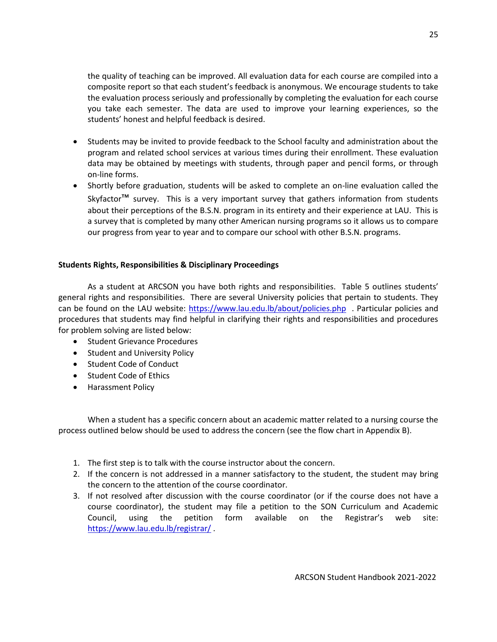the quality of teaching can be improved. All evaluation data for each course are compiled into a composite report so that each student's feedback is anonymous. We encourage students to take the evaluation process seriously and professionally by completing the evaluation for each course you take each semester. The data are used to improve your learning experiences, so the students' honest and helpful feedback is desired.

- Students may be invited to provide feedback to the School faculty and administration about the program and related school services at various times during their enrollment. These evaluation data may be obtained by meetings with students, through paper and pencil forms, or through on-line forms.
- Shortly before graduation, students will be asked to complete an on-line evaluation called the Skyfactor<sup>™</sup> survey. This is a very important survey that gathers information from students about their perceptions of the B.S.N. program in its entirety and their experience at LAU. This is a survey that is completed by many other American nursing programs so it allows us to compare our progress from year to year and to compare our school with other B.S.N. programs.

#### **Students Rights, Responsibilities & Disciplinary Proceedings**

As a student at ARCSON you have both rights and responsibilities. Table 5 outlines students' general rights and responsibilities. There are several University policies that pertain to students. They can be found on the LAU website:<https://www.lau.edu.lb/about/policies.php> . Particular policies and procedures that students may find helpful in clarifying their rights and responsibilities and procedures for problem solving are listed below:

- Student Grievance Procedures
- Student and University Policy
- Student Code of Conduct
- Student Code of Ethics
- **•** Harassment Policy

When a student has a specific concern about an academic matter related to a nursing course the process outlined below should be used to address the concern (see the flow chart in Appendix B).

- 1. The first step is to talk with the course instructor about the concern.
- 2. If the concern is not addressed in a manner satisfactory to the student, the student may bring the concern to the attention of the course coordinator.
- 3. If not resolved after discussion with the course coordinator (or if the course does not have a course coordinator), the student may file a petition to the SON Curriculum and Academic Council, using the petition form available on the Registrar's web site: <https://www.lau.edu.lb/registrar/> .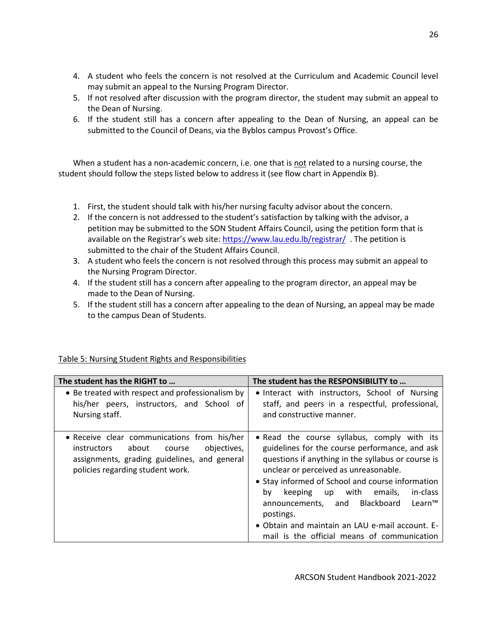- 4. A student who feels the concern is not resolved at the Curriculum and Academic Council level may submit an appeal to the Nursing Program Director.
- 5. If not resolved after discussion with the program director, the student may submit an appeal to the Dean of Nursing.
- 6. If the student still has a concern after appealing to the Dean of Nursing, an appeal can be submitted to the Council of Deans, via the Byblos campus Provost's Office.

When a student has a non-academic concern, i.e. one that is not related to a nursing course, the student should follow the steps listed below to address it (see flow chart in Appendix B).

- 1. First, the student should talk with his/her nursing faculty advisor about the concern.
- 2. If the concern is not addressed to the student's satisfaction by talking with the advisor, a petition may be submitted to the SON Student Affairs Council, using the petition form that is available on the Registrar's web site: <https://www.lau.edu.lb/registrar/>. The petition is submitted to the chair of the Student Affairs Council.
- 3. A student who feels the concern is not resolved through this process may submit an appeal to the Nursing Program Director.
- 4. If the student still has a concern after appealing to the program director, an appeal may be made to the Dean of Nursing.
- 5. If the student still has a concern after appealing to the dean of Nursing, an appeal may be made to the campus Dean of Students.

| The student has the RIGHT to                                                                                                                                                            | The student has the RESPONSIBILITY to                                                                                                                                                                                                                                                                                                                                                                                                                                  |
|-----------------------------------------------------------------------------------------------------------------------------------------------------------------------------------------|------------------------------------------------------------------------------------------------------------------------------------------------------------------------------------------------------------------------------------------------------------------------------------------------------------------------------------------------------------------------------------------------------------------------------------------------------------------------|
| • Be treated with respect and professionalism by<br>his/her peers, instructors, and School of<br>Nursing staff.                                                                         | • Interact with instructors, School of Nursing<br>staff, and peers in a respectful, professional,<br>and constructive manner.                                                                                                                                                                                                                                                                                                                                          |
| • Receive clear communications from his/her<br>objectives,<br>about<br><i>instructors</i><br>course<br>assignments, grading guidelines, and general<br>policies regarding student work. | • Read the course syllabus, comply with its<br>guidelines for the course performance, and ask<br>questions if anything in the syllabus or course is<br>unclear or perceived as unreasonable.<br>• Stay informed of School and course information<br>up with<br>emails,<br>in-class<br>keeping<br>bv<br>announcements, and Blackboard<br>$Learn^{\pi M}$<br>postings.<br>• Obtain and maintain an LAU e-mail account. E-<br>mail is the official means of communication |

# Table 5: Nursing Student Rights and Responsibilities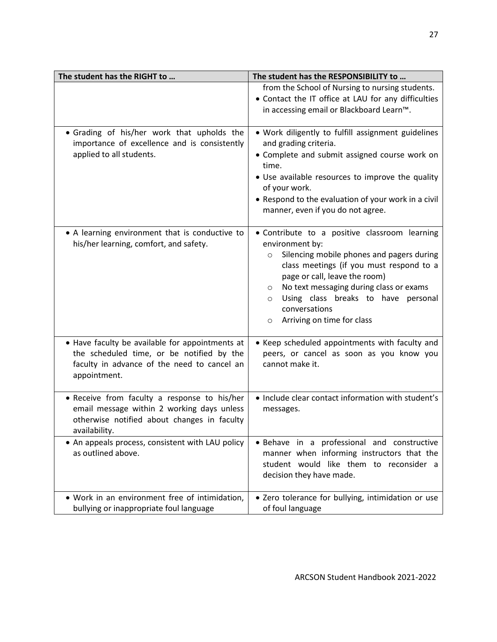| The student has the RIGHT to                                                                                                                                | The student has the RESPONSIBILITY to                                                                                                                                                                                                                                                                                                                                   |
|-------------------------------------------------------------------------------------------------------------------------------------------------------------|-------------------------------------------------------------------------------------------------------------------------------------------------------------------------------------------------------------------------------------------------------------------------------------------------------------------------------------------------------------------------|
|                                                                                                                                                             | from the School of Nursing to nursing students.<br>• Contact the IT office at LAU for any difficulties<br>in accessing email or Blackboard Learn™.                                                                                                                                                                                                                      |
| • Grading of his/her work that upholds the<br>importance of excellence and is consistently<br>applied to all students.                                      | . Work diligently to fulfill assignment guidelines<br>and grading criteria.<br>• Complete and submit assigned course work on<br>time.<br>. Use available resources to improve the quality<br>of your work.<br>• Respond to the evaluation of your work in a civil<br>manner, even if you do not agree.                                                                  |
| • A learning environment that is conductive to<br>his/her learning, comfort, and safety.                                                                    | · Contribute to a positive classroom learning<br>environment by:<br>Silencing mobile phones and pagers during<br>$\circ$<br>class meetings (if you must respond to a<br>page or call, leave the room)<br>No text messaging during class or exams<br>$\circ$<br>Using class breaks to have personal<br>$\circ$<br>conversations<br>Arriving on time for class<br>$\circ$ |
| • Have faculty be available for appointments at<br>the scheduled time, or be notified by the<br>faculty in advance of the need to cancel an<br>appointment. | • Keep scheduled appointments with faculty and<br>peers, or cancel as soon as you know you<br>cannot make it.                                                                                                                                                                                                                                                           |
| · Receive from faculty a response to his/her<br>email message within 2 working days unless<br>otherwise notified about changes in faculty<br>availability.  | . Include clear contact information with student's<br>messages.                                                                                                                                                                                                                                                                                                         |
| • An appeals process, consistent with LAU policy<br>as outlined above.                                                                                      | · Behave in a professional and constructive<br>manner when informing instructors that the<br>student would like them to reconsider a<br>decision they have made.                                                                                                                                                                                                        |
| . Work in an environment free of intimidation,<br>bullying or inappropriate foul language                                                                   | • Zero tolerance for bullying, intimidation or use<br>of foul language                                                                                                                                                                                                                                                                                                  |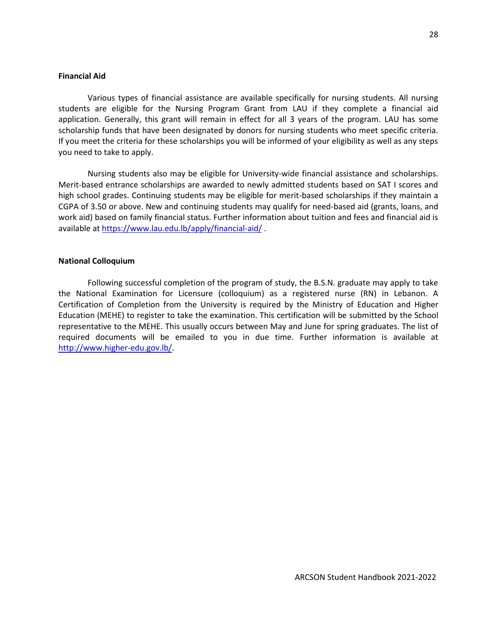#### **Financial Aid**

Various types of financial assistance are available specifically for nursing students. All nursing students are eligible for the Nursing Program Grant from LAU if they complete a financial aid application. Generally, this grant will remain in effect for all 3 years of the program. LAU has some scholarship funds that have been designated by donors for nursing students who meet specific criteria. If you meet the criteria for these scholarships you will be informed of your eligibility as well as any steps you need to take to apply.

Nursing students also may be eligible for University-wide financial assistance and scholarships. Merit-based entrance scholarships are awarded to newly admitted students based on SAT I scores and high school grades. Continuing students may be eligible for merit-based scholarships if they maintain a CGPA of 3.50 or above. New and continuing students may qualify for need-based aid (grants, loans, and work aid) based on family financial status. Further information about tuition and fees and financial aid is available a[t https://www.lau.edu.lb/apply/financial-aid/](https://www.lau.edu.lb/apply/financial-aid/) .

#### **National Colloquium**

Following successful completion of the program of study, the B.S.N. graduate may apply to take the National Examination for Licensure (colloquium) as a registered nurse (RN) in Lebanon. A Certification of Completion from the University is required by the Ministry of Education and Higher Education (MEHE) to register to take the examination. This certification will be submitted by the School representative to the MEHE. This usually occurs between May and June for spring graduates. The list of required documents will be emailed to you in due time. Further information is available at [http://www.higher-edu.gov.lb/.](http://www.higher-edu.gov.lb/)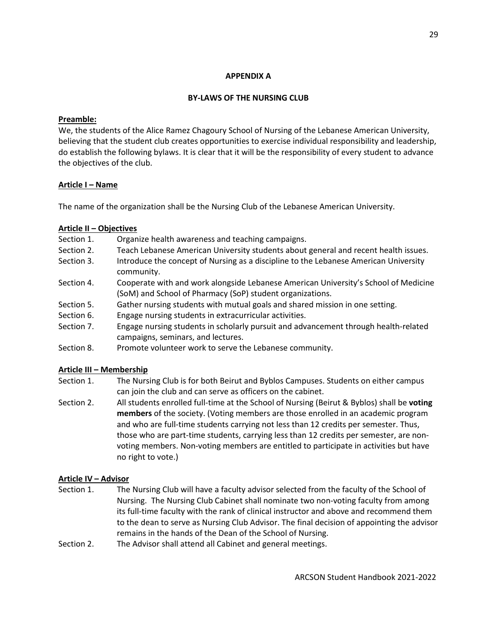#### **APPENDIX A**

#### **BY-LAWS OF THE NURSING CLUB**

#### **Preamble:**

We, the students of the Alice Ramez Chagoury School of Nursing of the Lebanese American University, believing that the student club creates opportunities to exercise individual responsibility and leadership, do establish the following bylaws. It is clear that it will be the responsibility of every student to advance the objectives of the club.

## **Article I – Name**

The name of the organization shall be the Nursing Club of the Lebanese American University.

## **Article II – Objectives**

- Section 1. Organize health awareness and teaching campaigns.
- Section 2. Teach Lebanese American University students about general and recent health issues.
- Section 3. Introduce the concept of Nursing as a discipline to the Lebanese American University community.
- Section 4. Cooperate with and work alongside Lebanese American University's School of Medicine (SoM) and School of Pharmacy (SoP) student organizations.
- Section 5. Gather nursing students with mutual goals and shared mission in one setting.
- Section 6. Engage nursing students in extracurricular activities.
- Section 7. Engage nursing students in scholarly pursuit and advancement through health-related campaigns, seminars, and lectures.
- Section 8. Promote volunteer work to serve the Lebanese community.

## **Article III – Membership**

- Section 1. The Nursing Club is for both Beirut and Byblos Campuses. Students on either campus can join the club and can serve as officers on the cabinet.
- Section 2. All students enrolled full-time at the School of Nursing (Beirut & Byblos) shall be **voting members** of the society. (Voting members are those enrolled in an academic program and who are full-time students carrying not less than 12 credits per semester. Thus, those who are part-time students, carrying less than 12 credits per semester, are nonvoting members. Non-voting members are entitled to participate in activities but have no right to vote.)

## **Article IV – Advisor**

- Section 1. The Nursing Club will have a faculty advisor selected from the faculty of the School of Nursing. The Nursing Club Cabinet shall nominate two non-voting faculty from among its full-time faculty with the rank of clinical instructor and above and recommend them to the dean to serve as Nursing Club Advisor. The final decision of appointing the advisor remains in the hands of the Dean of the School of Nursing.
- Section 2. The Advisor shall attend all Cabinet and general meetings.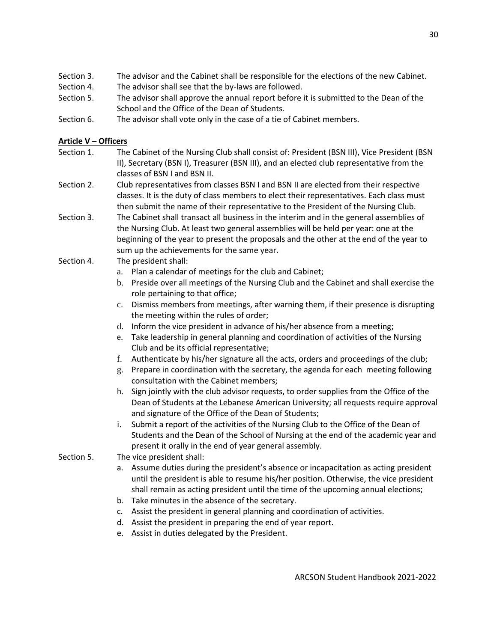- Section 3. The advisor and the Cabinet shall be responsible for the elections of the new Cabinet.
- Section 4. The advisor shall see that the by-laws are followed.
- Section 5. The advisor shall approve the annual report before it is submitted to the Dean of the School and the Office of the Dean of Students.
- Section 6. The advisor shall vote only in the case of a tie of Cabinet members.

# **Article V – Officers**

- Section 1. The Cabinet of the Nursing Club shall consist of: President (BSN III), Vice President (BSN II), Secretary (BSN I), Treasurer (BSN III), and an elected club representative from the classes of BSN I and BSN II.
- Section 2. Club representatives from classes BSN I and BSN II are elected from their respective classes. It is the duty of class members to elect their representatives. Each class must then submit the name of their representative to the President of the Nursing Club.
- Section 3. The Cabinet shall transact all business in the interim and in the general assemblies of the Nursing Club. At least two general assemblies will be held per year: one at the beginning of the year to present the proposals and the other at the end of the year to sum up the achievements for the same year.
- Section 4. The president shall:
	- a. Plan a calendar of meetings for the club and Cabinet;
	- b. Preside over all meetings of the Nursing Club and the Cabinet and shall exercise the role pertaining to that office;
	- c. Dismiss members from meetings, after warning them, if their presence is disrupting the meeting within the rules of order;
	- d. Inform the vice president in advance of his/her absence from a meeting;
	- e. Take leadership in general planning and coordination of activities of the Nursing Club and be its official representative;
	- f. Authenticate by his/her signature all the acts, orders and proceedings of the club;
	- g. Prepare in coordination with the secretary, the agenda for each meeting following consultation with the Cabinet members;
	- h. Sign jointly with the club advisor requests, to order supplies from the Office of the Dean of Students at the Lebanese American University; all requests require approval and signature of the Office of the Dean of Students;
	- i. Submit a report of the activities of the Nursing Club to the Office of the Dean of Students and the Dean of the School of Nursing at the end of the academic year and present it orally in the end of year general assembly.
- Section 5. The vice president shall:
	- a. Assume duties during the president's absence or incapacitation as acting president until the president is able to resume his/her position. Otherwise, the vice president shall remain as acting president until the time of the upcoming annual elections;
	- b. Take minutes in the absence of the secretary.
	- c. Assist the president in general planning and coordination of activities.
	- d. Assist the president in preparing the end of year report.
	- e. Assist in duties delegated by the President.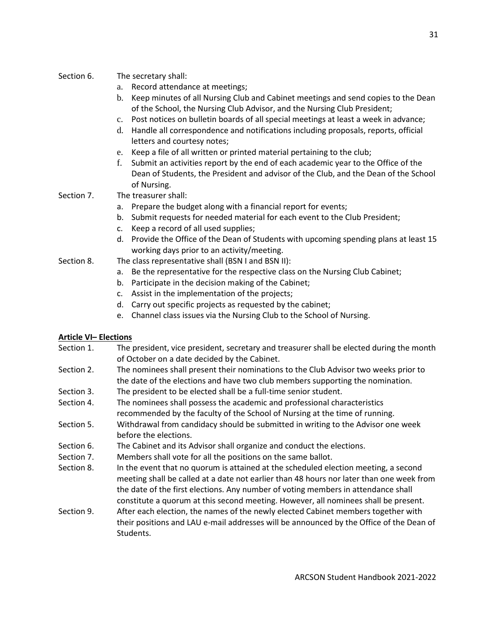## Section 6. The secretary shall:

- a. Record attendance at meetings;
- b. Keep minutes of all Nursing Club and Cabinet meetings and send copies to the Dean of the School, the Nursing Club Advisor, and the Nursing Club President;
- c. Post notices on bulletin boards of all special meetings at least a week in advance;
- d. Handle all correspondence and notifications including proposals, reports, official letters and courtesy notes;
- e. Keep a file of all written or printed material pertaining to the club;
- f. Submit an activities report by the end of each academic year to the Office of the Dean of Students, the President and advisor of the Club, and the Dean of the School of Nursing.
- Section 7. The treasurer shall:
	- a. Prepare the budget along with a financial report for events;
	- b. Submit requests for needed material for each event to the Club President;
	- c. Keep a record of all used supplies;
	- d. Provide the Office of the Dean of Students with upcoming spending plans at least 15 working days prior to an activity/meeting.
- Section 8. The class representative shall (BSN I and BSN II):
	- a. Be the representative for the respective class on the Nursing Club Cabinet;
	- b. Participate in the decision making of the Cabinet;
	- c. Assist in the implementation of the projects;
	- d. Carry out specific projects as requested by the cabinet;
	- e. Channel class issues via the Nursing Club to the School of Nursing.

# **Article VI– Elections**

- Section 1. The president, vice president, secretary and treasurer shall be elected during the month of October on a date decided by the Cabinet.
- Section 2. The nominees shall present their nominations to the Club Advisor two weeks prior to the date of the elections and have two club members supporting the nomination.
- Section 3. The president to be elected shall be a full-time senior student.
- Section 4. The nominees shall possess the academic and professional characteristics recommended by the faculty of the School of Nursing at the time of running.
- Section 5. Withdrawal from candidacy should be submitted in writing to the Advisor one week before the elections.
- Section 6. The Cabinet and its Advisor shall organize and conduct the elections.
- Section 7. Members shall vote for all the positions on the same ballot.
- Section 8. In the event that no quorum is attained at the scheduled election meeting, a second meeting shall be called at a date not earlier than 48 hours nor later than one week from the date of the first elections. Any number of voting members in attendance shall constitute a quorum at this second meeting. However, all nominees shall be present.
- Section 9. After each election, the names of the newly elected Cabinet members together with their positions and LAU e-mail addresses will be announced by the Office of the Dean of Students.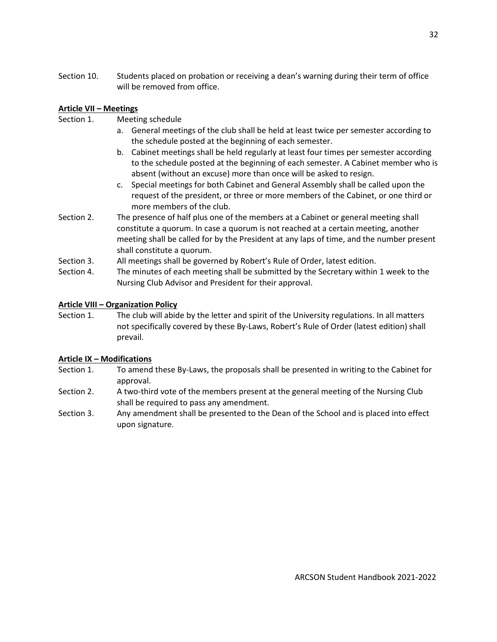Section 10. Students placed on probation or receiving a dean's warning during their term of office will be removed from office.

## **Article VII – Meetings**

- Section 1. Meeting schedule
	- a. General meetings of the club shall be held at least twice per semester according to the schedule posted at the beginning of each semester.
	- b. Cabinet meetings shall be held regularly at least four times per semester according to the schedule posted at the beginning of each semester. A Cabinet member who is absent (without an excuse) more than once will be asked to resign.
	- c. Special meetings for both Cabinet and General Assembly shall be called upon the request of the president, or three or more members of the Cabinet, or one third or more members of the club.
- Section 2. The presence of half plus one of the members at a Cabinet or general meeting shall constitute a quorum. In case a quorum is not reached at a certain meeting, another meeting shall be called for by the President at any laps of time, and the number present shall constitute a quorum.
- Section 3. All meetings shall be governed by Robert's Rule of Order, latest edition.
- Section 4. The minutes of each meeting shall be submitted by the Secretary within 1 week to the Nursing Club Advisor and President for their approval.

## **Article VIII – Organization Policy**

Section 1. The club will abide by the letter and spirit of the University regulations. In all matters not specifically covered by these By-Laws, Robert's Rule of Order (latest edition) shall prevail.

## **Article IX – Modifications**

- Section 1. To amend these By-Laws, the proposals shall be presented in writing to the Cabinet for approval.
- Section 2. A two-third vote of the members present at the general meeting of the Nursing Club shall be required to pass any amendment.
- Section 3. Any amendment shall be presented to the Dean of the School and is placed into effect upon signature.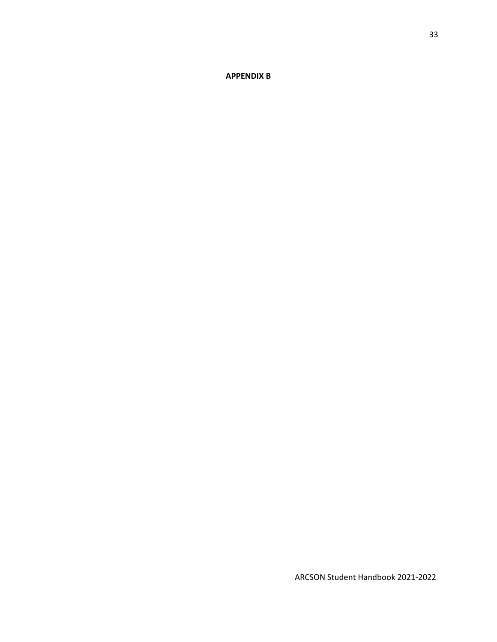**APPENDIX B**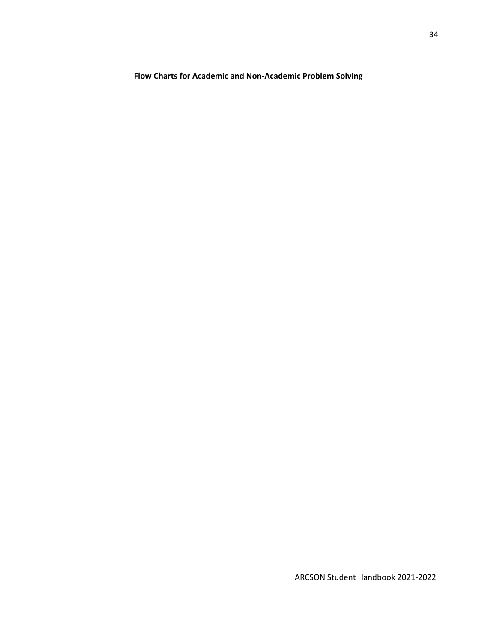**Flow Charts for Academic and Non-Academic Problem Solving**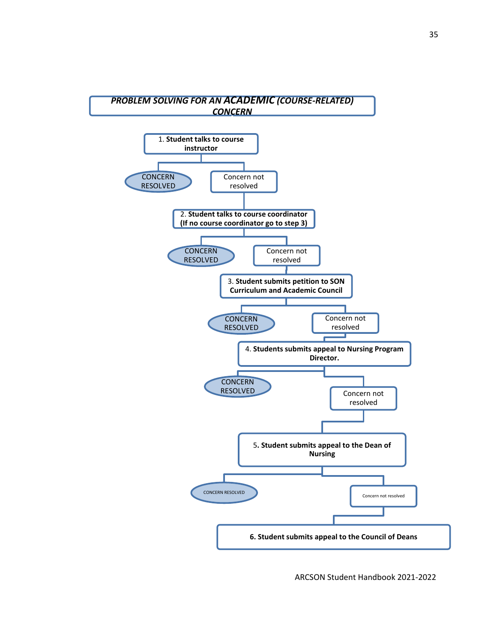

ARCSON Student Handbook 2021-2022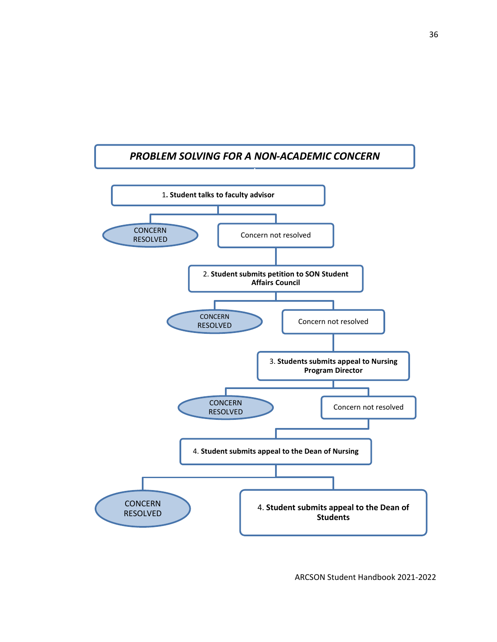# *PROBLEM SOLVING FOR A NON-ACADEMIC CONCERN* 1**. Student talks to faculty advisor** CONCERN<br>RESOLVED Concern not resolved 2. **Student submits petition to SON Student Affairs Council** CONCERN<br>RESOLVED Concern not resolved 3. **Students submits appeal to Nursing Program Director** Concern not resolved 4. **Student submits appeal to the Dean of Nursing** CONCERN RESOLVED 4. **Student submits appeal to the Dean of Students CONCERN** RESOLVED

ARCSON Student Handbook 2021-2022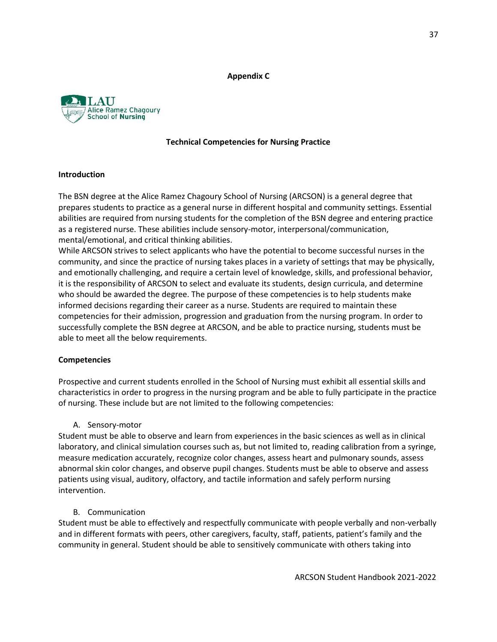#### **Appendix C**



## **Technical Competencies for Nursing Practice**

#### **Introduction**

The BSN degree at the Alice Ramez Chagoury School of Nursing (ARCSON) is a general degree that prepares students to practice as a general nurse in different hospital and community settings. Essential abilities are required from nursing students for the completion of the BSN degree and entering practice as a registered nurse. These abilities include sensory-motor, interpersonal/communication, mental/emotional, and critical thinking abilities.

While ARCSON strives to select applicants who have the potential to become successful nurses in the community, and since the practice of nursing takes places in a variety of settings that may be physically, and emotionally challenging, and require a certain level of knowledge, skills, and professional behavior, it is the responsibility of ARCSON to select and evaluate its students, design curricula, and determine who should be awarded the degree. The purpose of these competencies is to help students make informed decisions regarding their career as a nurse. Students are required to maintain these competencies for their admission, progression and graduation from the nursing program. In order to successfully complete the BSN degree at ARCSON, and be able to practice nursing, students must be able to meet all the below requirements.

#### **Competencies**

Prospective and current students enrolled in the School of Nursing must exhibit all essential skills and characteristics in order to progress in the nursing program and be able to fully participate in the practice of nursing. These include but are not limited to the following competencies:

## A. Sensory-motor

Student must be able to observe and learn from experiences in the basic sciences as well as in clinical laboratory, and clinical simulation courses such as, but not limited to, reading calibration from a syringe, measure medication accurately, recognize color changes, assess heart and pulmonary sounds, assess abnormal skin color changes, and observe pupil changes. Students must be able to observe and assess patients using visual, auditory, olfactory, and tactile information and safely perform nursing intervention.

## B. Communication

Student must be able to effectively and respectfully communicate with people verbally and non-verbally and in different formats with peers, other caregivers, faculty, staff, patients, patient's family and the community in general. Student should be able to sensitively communicate with others taking into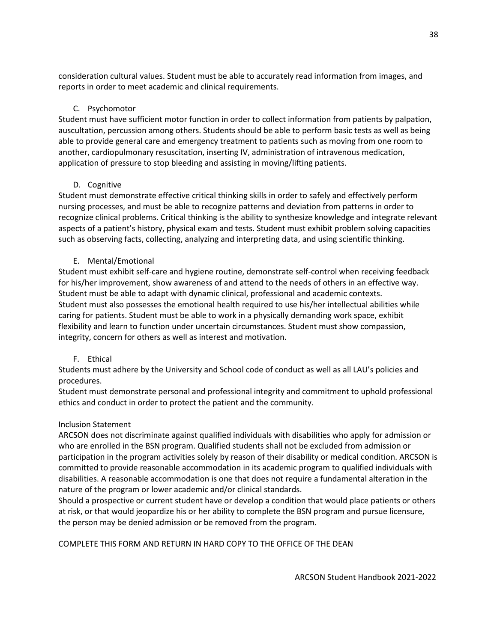consideration cultural values. Student must be able to accurately read information from images, and reports in order to meet academic and clinical requirements.

# C. Psychomotor

Student must have sufficient motor function in order to collect information from patients by palpation, auscultation, percussion among others. Students should be able to perform basic tests as well as being able to provide general care and emergency treatment to patients such as moving from one room to another, cardiopulmonary resuscitation, inserting IV, administration of intravenous medication, application of pressure to stop bleeding and assisting in moving/lifting patients.

# D. Cognitive

Student must demonstrate effective critical thinking skills in order to safely and effectively perform nursing processes, and must be able to recognize patterns and deviation from patterns in order to recognize clinical problems. Critical thinking is the ability to synthesize knowledge and integrate relevant aspects of a patient's history, physical exam and tests. Student must exhibit problem solving capacities such as observing facts, collecting, analyzing and interpreting data, and using scientific thinking.

# E. Mental/Emotional

Student must exhibit self-care and hygiene routine, demonstrate self-control when receiving feedback for his/her improvement, show awareness of and attend to the needs of others in an effective way. Student must be able to adapt with dynamic clinical, professional and academic contexts. Student must also possesses the emotional health required to use his/her intellectual abilities while caring for patients. Student must be able to work in a physically demanding work space, exhibit flexibility and learn to function under uncertain circumstances. Student must show compassion, integrity, concern for others as well as interest and motivation.

# F. Ethical

Students must adhere by the University and School code of conduct as well as all LAU's policies and procedures.

Student must demonstrate personal and professional integrity and commitment to uphold professional ethics and conduct in order to protect the patient and the community.

# Inclusion Statement

ARCSON does not discriminate against qualified individuals with disabilities who apply for admission or who are enrolled in the BSN program. Qualified students shall not be excluded from admission or participation in the program activities solely by reason of their disability or medical condition. ARCSON is committed to provide reasonable accommodation in its academic program to qualified individuals with disabilities. A reasonable accommodation is one that does not require a fundamental alteration in the nature of the program or lower academic and/or clinical standards.

Should a prospective or current student have or develop a condition that would place patients or others at risk, or that would jeopardize his or her ability to complete the BSN program and pursue licensure, the person may be denied admission or be removed from the program.

COMPLETE THIS FORM AND RETURN IN HARD COPY TO THE OFFICE OF THE DEAN